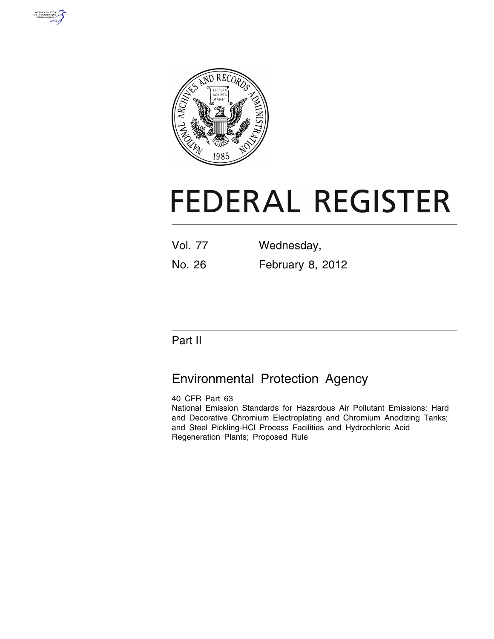



# **FEDERAL REGISTER**

| <b>Vol. 77</b> | Wednesday,       |
|----------------|------------------|
| No. 26         | February 8, 2012 |

# Part II

# Environmental Protection Agency

40 CFR Part 63 National Emission Standards for Hazardous Air Pollutant Emissions: Hard and Decorative Chromium Electroplating and Chromium Anodizing Tanks; and Steel Pickling-HCl Process Facilities and Hydrochloric Acid Regeneration Plants; Proposed Rule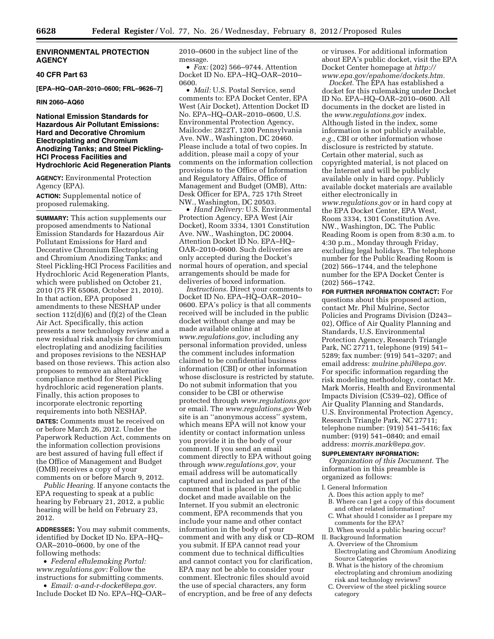# **ENVIRONMENTAL PROTECTION AGENCY**

# **40 CFR Part 63**

**[EPA–HQ–OAR–2010–0600; FRL–9626–7]** 

**RIN 2060–AQ60** 

# **National Emission Standards for Hazardous Air Pollutant Emissions: Hard and Decorative Chromium Electroplating and Chromium Anodizing Tanks; and Steel Pickling-HCl Process Facilities and Hydrochloric Acid Regeneration Plants**

**AGENCY:** Environmental Protection Agency (EPA).

**ACTION:** Supplemental notice of proposed rulemaking.

**SUMMARY:** This action supplements our proposed amendments to National Emission Standards for Hazardous Air Pollutant Emissions for Hard and Decorative Chromium Electroplating and Chromium Anodizing Tanks; and Steel Pickling-HCl Process Facilities and Hydrochloric Acid Regeneration Plants, which were published on October 21, 2010 (75 FR 65068, October 21, 2010). In that action, EPA proposed amendments to these NESHAP under section  $112(d)(6)$  and  $(f)(2)$  of the Clean Air Act. Specifically, this action presents a new technology review and a new residual risk analysis for chromium electroplating and anodizing facilities and proposes revisions to the NESHAP based on those reviews. This action also proposes to remove an alternative compliance method for Steel Pickling hydrochloric acid regeneration plants. Finally, this action proposes to incorporate electronic reporting requirements into both NESHAP.

**DATES:** Comments must be received on or before March 26, 2012. Under the Paperwork Reduction Act, comments on the information collection provisions are best assured of having full effect if the Office of Management and Budget (OMB) receives a copy of your comments on or before March 9, 2012.

*Public Hearing.* If anyone contacts the EPA requesting to speak at a public hearing by February 21, 2012, a public hearing will be held on February 23, 2012.

**ADDRESSES:** You may submit comments, identified by Docket ID No. EPA–HQ– OAR–2010–0600, by one of the following methods:

• *Federal eRulemaking Portal: [www.regulations.gov:](http://www.regulations.gov)* Follow the instructions for submitting comments.

• *Email: [a-and-r-docket@epa.gov.](mailto:a-and-r-docket@epa.gov)*  Include Docket ID No. EPA–HQ–OAR– 2010–0600 in the subject line of the message.

• *Fax:* (202) 566–9744. Attention Docket ID No. EPA–HQ–OAR–2010– 0600.

• *Mail:* U.S. Postal Service, send comments to: EPA Docket Center, EPA West (Air Docket), Attention Docket ID No. EPA–HQ–OAR–2010–0600, U.S. Environmental Protection Agency, Mailcode: 2822T, 1200 Pennsylvania Ave. NW., Washington, DC 20460. Please include a total of two copies. In addition, please mail a copy of your comments on the information collection provisions to the Office of Information and Regulatory Affairs, Office of Management and Budget (OMB), Attn: Desk Officer for EPA, 725 17th Street NW., Washington, DC 20503.

• *Hand Delivery:* U.S. Environmental Protection Agency, EPA West (Air Docket), Room 3334, 1301 Constitution Ave. NW., Washington, DC 20004. Attention Docket ID No. EPA–HQ– OAR–2010–0600. Such deliveries are only accepted during the Docket's normal hours of operation, and special arrangements should be made for deliveries of boxed information.

*Instructions.* Direct your comments to Docket ID No. EPA–HQ–OAR–2010– 0600. EPA's policy is that all comments received will be included in the public docket without change and may be made available online at *[www.regulations.gov,](http://www.regulations.gov)* including any personal information provided, unless the comment includes information claimed to be confidential business information (CBI) or other information whose disclosure is restricted by statute. Do not submit information that you consider to be CBI or otherwise protected through *[www.regulations.gov](http://www.regulations.gov)*  or email. The *[www.regulations.gov](http://www.regulations.gov)* Web site is an ''anonymous access'' system, which means EPA will not know your identity or contact information unless you provide it in the body of your comment. If you send an email comment directly to EPA without going through *[www.regulations.gov,](http://www.regulations.gov)* your email address will be automatically captured and included as part of the comment that is placed in the public docket and made available on the Internet. If you submit an electronic comment, EPA recommends that you include your name and other contact information in the body of your comment and with any disk or CD–ROM you submit. If EPA cannot read your comment due to technical difficulties and cannot contact you for clarification, EPA may not be able to consider your comment. Electronic files should avoid the use of special characters, any form of encryption, and be free of any defects

or viruses. For additional information about EPA's public docket, visit the EPA Docket Center homepage at *[http://](http://www.epa.gov/epahome/dockets.htm) [www.epa.gov/epahome/dockets.htm.](http://www.epa.gov/epahome/dockets.htm)* 

*Docket.* The EPA has established a docket for this rulemaking under Docket ID No. EPA–HQ–OAR–2010–0600. All documents in the docket are listed in the *[www.regulations.gov](http://www.regulations.gov)* index. Although listed in the index, some information is not publicly available, *e.g.,* CBI or other information whose disclosure is restricted by statute. Certain other material, such as copyrighted material, is not placed on the Internet and will be publicly available only in hard copy. Publicly available docket materials are available either electronically in *[www.regulations.gov](http://www.regulations.gov)* or in hard copy at the EPA Docket Center, EPA West, Room 3334, 1301 Constitution Ave. NW., Washington, DC. The Public Reading Room is open from 8:30 a.m. to 4:30 p.m., Monday through Friday, excluding legal holidays. The telephone number for the Public Reading Room is (202) 566–1744, and the telephone number for the EPA Docket Center is (202) 566–1742.

**FOR FURTHER INFORMATION CONTACT:** For questions about this proposed action, contact Mr. Phil Mulrine, Sector Policies and Programs Division (D243– 02), Office of Air Quality Planning and Standards, U.S. Environmental Protection Agency, Research Triangle Park, NC 27711, telephone (919) 541– 5289; fax number: (919) 541–3207; and email address: *[mulrine.phil@epa.gov.](mailto:mulrine.phil@epa.gov)*  For specific information regarding the risk modeling methodology, contact Mr. Mark Morris, Health and Environmental Impacts Division (C539–02), Office of Air Quality Planning and Standards, U.S. Environmental Protection Agency, Research Triangle Park, NC 27711; telephone number: (919) 541–5416; fax number: (919) 541–0840; and email address: *[morris.mark@epa.gov.](mailto:morris.mark@epa.gov)* 

# **SUPPLEMENTARY INFORMATION:**

*Organization of this Document.* The information in this preamble is organized as follows:

I. General Information

- A. Does this action apply to me?
- B. Where can I get a copy of this document and other related information?
- C. What should I consider as I prepare my comments for the EPA?
- D. When would a public hearing occur? II. Background Information
- A. Overview of the Chromium
	- Electroplating and Chromium Anodizing Source Categories
- B. What is the history of the chromium electroplating and chromium anodizing risk and technology reviews?
- C. Overview of the steel pickling source category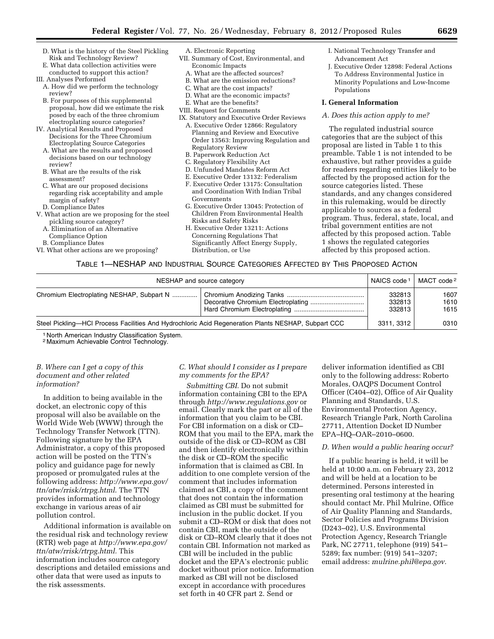- D. What is the history of the Steel Pickling Risk and Technology Review?
- E. What data collection activities were conducted to support this action?
- III. Analyses Performed
- A. How did we perform the technology review?
- B. For purposes of this supplemental proposal, how did we estimate the risk posed by each of the three chromium electroplating source categories?
- IV. Analytical Results and Proposed Decisions for the Three Chromium Electroplating Source Categories
	- A. What are the results and proposed decisions based on our technology review?
	- B. What are the results of the risk assessment?
	- C. What are our proposed decisions regarding risk acceptability and ample margin of safety?
	- D. Compliance Dates
- V. What action are we proposing for the steel pickling source category?
	- A. Elimination of an Alternative Compliance Option
	- B. Compliance Dates
- VI. What other actions are we proposing?
- A. Electronic Reporting
- VII. Summary of Cost, Environmental, and Economic Impacts
	- A. What are the affected sources?
	- B. What are the emission reductions?
	- C. What are the cost impacts?
	- D. What are the economic impacts?
	- E. What are the benefits?
- VIII. Request for Comments
- IX. Statutory and Executive Order Reviews A. Executive Order 12866: Regulatory Planning and Review and Executive Order 13563: Improving Regulation and Regulatory Review
	- B. Paperwork Reduction Act
	- C. Regulatory Flexibility Act
	- D. Unfunded Mandates Reform Act
	- E. Executive Order 13132: Federalism
	- F. Executive Order 13175: Consultation and Coordination With Indian Tribal Governments
	- G. Executive Order 13045: Protection of Children From Environmental Health Risks and Safety Risks
	- H. Executive Order 13211: Actions Concerning Regulations That Significantly Affect Energy Supply, Distribution, or Use
- I. National Technology Transfer and Advancement Act
- J. Executive Order 12898: Federal Actions To Address Environmental Justice in Minority Populations and Low-Income Populations

# **I. General Information**

#### *A. Does this action apply to me?*

The regulated industrial source categories that are the subject of this proposal are listed in Table 1 to this preamble. Table 1 is not intended to be exhaustive, but rather provides a guide for readers regarding entities likely to be affected by the proposed action for the source categories listed. These standards, and any changes considered in this rulemaking, would be directly applicable to sources as a federal program. Thus, federal, state, local, and tribal government entities are not affected by this proposed action. Table 1 shows the regulated categories affected by this proposed action.

# TABLE 1—NESHAP AND INDUSTRIAL SOURCE CATEGORIES AFFECTED BY THIS PROPOSED ACTION

| NESHAP and source category                                                                          |  | NAICS code 1               | MACT code <sup>2</sup> |
|-----------------------------------------------------------------------------------------------------|--|----------------------------|------------------------|
| Chromium Electroplating NESHAP, Subpart N                                                           |  | 332813<br>332813<br>332813 | 1607<br>1610<br>1615   |
| Steel Pickling—HCI Process Facilities And Hydrochloric Acid Regeneration Plants NESHAP, Subpart CCC |  |                            | 0310<br>3311, 3312     |

1 North American Industry Classification System.

2 Maximum Achievable Control Technology.

# *B. Where can I get a copy of this document and other related information?*

In addition to being available in the docket, an electronic copy of this proposal will also be available on the World Wide Web (WWW) through the Technology Transfer Network (TTN). Following signature by the EPA Administrator, a copy of this proposed action will be posted on the TTN's policy and guidance page for newly proposed or promulgated rules at the following address: *[http://www.epa.gov/](http://www.epa.gov/ttn/atw/rrisk/rtrpg.html) [ttn/atw/rrisk/rtrpg.html](http://www.epa.gov/ttn/atw/rrisk/rtrpg.html)*. The TTN provides information and technology exchange in various areas of air pollution control.

Additional information is available on the residual risk and technology review (RTR) web page at *[http://www.epa.gov/](http://www.epa.gov/ttn/atw/rrisk/rtrpg.html) [ttn/atw/rrisk/rtrpg.html.](http://www.epa.gov/ttn/atw/rrisk/rtrpg.html)* This information includes source category descriptions and detailed emissions and other data that were used as inputs to the risk assessments.

# *C. What should I consider as I prepare my comments for the EPA?*

*Submitting CBI.* Do not submit information containing CBI to the EPA through *<http://www.regulations.gov>* or email. Clearly mark the part or all of the information that you claim to be CBI. For CBI information on a disk or CD– ROM that you mail to the EPA, mark the outside of the disk or CD–ROM as CBI and then identify electronically within the disk or CD–ROM the specific information that is claimed as CBI. In addition to one complete version of the comment that includes information claimed as CBI, a copy of the comment that does not contain the information claimed as CBI must be submitted for inclusion in the public docket. If you submit a CD–ROM or disk that does not contain CBI, mark the outside of the disk or CD–ROM clearly that it does not contain CBI. Information not marked as CBI will be included in the public docket and the EPA's electronic public docket without prior notice. Information marked as CBI will not be disclosed except in accordance with procedures set forth in 40 CFR part 2. Send or

deliver information identified as CBI only to the following address: Roberto Morales, OAQPS Document Control Officer (C404–02), Office of Air Quality Planning and Standards, U.S. Environmental Protection Agency, Research Triangle Park, North Carolina 27711, Attention Docket ID Number EPA–HQ–OAR–2010–0600.

# *D. When would a public hearing occur?*

If a public hearing is held, it will be held at 10:00 a.m. on February 23, 2012 and will be held at a location to be determined. Persons interested in presenting oral testimony at the hearing should contact Mr. Phil Mulrine, Office of Air Quality Planning and Standards, Sector Policies and Programs Division (D243–02), U.S. Environmental Protection Agency, Research Triangle Park, NC 27711, telephone (919) 541– 5289; fax number: (919) 541–3207; email address: *[mulrine.phil@epa.gov.](mailto:mulrine.phil@epa.gov)*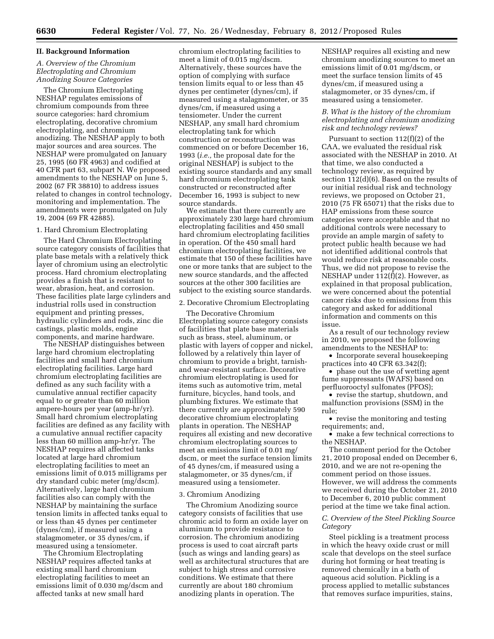#### **II. Background Information**

# *A. Overview of the Chromium Electroplating and Chromium Anodizing Source Categories*

The Chromium Electroplating NESHAP regulates emissions of chromium compounds from three source categories: hard chromium electroplating, decorative chromium electroplating, and chromium anodizing. The NESHAP apply to both major sources and area sources. The NESHAP were promulgated on January 25, 1995 (60 FR 4963) and codified at 40 CFR part 63, subpart N. We proposed amendments to the NESHAP on June 5, 2002 (67 FR 38810) to address issues related to changes in control technology, monitoring and implementation. The amendments were promulgated on July 19, 2004 (69 FR 42885).

#### 1. Hard Chromium Electroplating

The Hard Chromium Electroplating source category consists of facilities that plate base metals with a relatively thick layer of chromium using an electrolytic process. Hard chromium electroplating provides a finish that is resistant to wear, abrasion, heat, and corrosion. These facilities plate large cylinders and industrial rolls used in construction equipment and printing presses, hydraulic cylinders and rods, zinc die castings, plastic molds, engine components, and marine hardware.

The NESHAP distinguishes between large hard chromium electroplating facilities and small hard chromium electroplating facilities. Large hard chromium electroplating facilities are defined as any such facility with a cumulative annual rectifier capacity equal to or greater than 60 million ampere-hours per year (amp-hr/yr). Small hard chromium electroplating facilities are defined as any facility with a cumulative annual rectifier capacity less than 60 million amp-hr/yr. The NESHAP requires all affected tanks located at large hard chromium electroplating facilities to meet an emissions limit of 0.015 milligrams per dry standard cubic meter (mg/dscm). Alternatively, large hard chromium facilities also can comply with the NESHAP by maintaining the surface tension limits in affected tanks equal to or less than 45 dynes per centimeter (dynes/cm), if measured using a stalagmometer, or 35 dynes/cm, if measured using a tensiometer.

The Chromium Electroplating NESHAP requires affected tanks at existing small hard chromium electroplating facilities to meet an emissions limit of 0.030 mg/dscm and affected tanks at new small hard

chromium electroplating facilities to meet a limit of 0.015 mg/dscm. Alternatively, these sources have the option of complying with surface tension limits equal to or less than 45 dynes per centimeter (dynes/cm), if measured using a stalagmometer, or 35 dynes/cm, if measured using a tensiometer. Under the current NESHAP, any small hard chromium electroplating tank for which construction or reconstruction was commenced on or before December 16, 1993 (*i.e.,* the proposal date for the original NESHAP) is subject to the existing source standards and any small hard chromium electroplating tank constructed or reconstructed after December 16, 1993 is subject to new source standards.

We estimate that there currently are approximately 230 large hard chromium electroplating facilities and 450 small hard chromium electroplating facilities in operation. Of the 450 small hard chromium electroplating facilities, we estimate that 150 of these facilities have one or more tanks that are subject to the new source standards, and the affected sources at the other 300 facilities are subject to the existing source standards.

#### 2. Decorative Chromium Electroplating

The Decorative Chromium Electroplating source category consists of facilities that plate base materials such as brass, steel, aluminum, or plastic with layers of copper and nickel, followed by a relatively thin layer of chromium to provide a bright, tarnishand wear-resistant surface. Decorative chromium electroplating is used for items such as automotive trim, metal furniture, bicycles, hand tools, and plumbing fixtures. We estimate that there currently are approximately 590 decorative chromium electroplating plants in operation. The NESHAP requires all existing and new decorative chromium electroplating sources to meet an emissions limit of 0.01 mg/ dscm, or meet the surface tension limits of 45 dynes/cm, if measured using a stalagmometer, or 35 dynes/cm, if measured using a tensiometer.

#### 3. Chromium Anodizing

The Chromium Anodizing source category consists of facilities that use chromic acid to form an oxide layer on aluminum to provide resistance to corrosion. The chromium anodizing process is used to coat aircraft parts (such as wings and landing gears) as well as architectural structures that are subject to high stress and corrosive conditions. We estimate that there currently are about 180 chromium anodizing plants in operation. The

NESHAP requires all existing and new chromium anodizing sources to meet an emissions limit of 0.01 mg/dscm, or meet the surface tension limits of 45 dynes/cm, if measured using a stalagmometer, or 35 dynes/cm, if measured using a tensiometer.

# *B. What is the history of the chromium electroplating and chromium anodizing risk and technology reviews?*

Pursuant to section 112(f)(2) of the CAA, we evaluated the residual risk associated with the NESHAP in 2010. At that time, we also conducted a technology review, as required by section 112(d)(6). Based on the results of our initial residual risk and technology reviews, we proposed on October 21, 2010 (75 FR 65071) that the risks due to HAP emissions from these source categories were acceptable and that no additional controls were necessary to provide an ample margin of safety to protect public health because we had not identified additional controls that would reduce risk at reasonable costs. Thus, we did not propose to revise the NESHAP under 112(f)(2). However, as explained in that proposal publication, we were concerned about the potential cancer risks due to emissions from this category and asked for additional information and comments on this issue.

As a result of our technology review in 2010, we proposed the following amendments to the NESHAP to:

• Incorporate several housekeeping practices into 40 CFR 63.342(f);

• phase out the use of wetting agent fume suppressants (WAFS) based on perfluorooctyl sulfonates (PFOS);

• revise the startup, shutdown, and malfunction provisions (SSM) in the rule;

• revise the monitoring and testing requirements; and,

• make a few technical corrections to the NESHAP.

The comment period for the October 21, 2010 proposal ended on December 6, 2010, and we are not re-opening the comment period on those issues. However, we will address the comments we received during the October 21, 2010 to December 6, 2010 public comment period at the time we take final action.

# *C. Overview of the Steel Pickling Source Category*

Steel pickling is a treatment process in which the heavy oxide crust or mill scale that develops on the steel surface during hot forming or heat treating is removed chemically in a bath of aqueous acid solution. Pickling is a process applied to metallic substances that removes surface impurities, stains,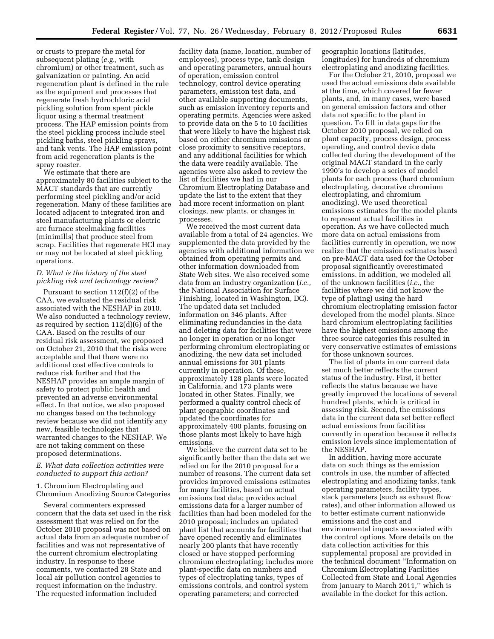or crusts to prepare the metal for subsequent plating (*e.g.,* with chromium) or other treatment, such as galvanization or painting. An acid regeneration plant is defined in the rule as the equipment and processes that regenerate fresh hydrochloric acid pickling solution from spent pickle liquor using a thermal treatment process. The HAP emission points from the steel pickling process include steel pickling baths, steel pickling sprays, and tank vents. The HAP emission point from acid regeneration plants is the spray roaster.

We estimate that there are approximately 80 facilities subject to the MACT standards that are currently performing steel pickling and/or acid regeneration. Many of these facilities are located adjacent to integrated iron and steel manufacturing plants or electric arc furnace steelmaking facilities (minimills) that produce steel from scrap. Facilities that regenerate HCl may or may not be located at steel pickling operations.

# *D. What is the history of the steel pickling risk and technology review?*

Pursuant to section 112(f)(2) of the CAA, we evaluated the residual risk associated with the NESHAP in 2010. We also conducted a technology review, as required by section 112(d)(6) of the CAA. Based on the results of our residual risk assessment, we proposed on October 21, 2010 that the risks were acceptable and that there were no additional cost effective controls to reduce risk further and that the NESHAP provides an ample margin of safety to protect public health and prevented an adverse environmental effect. In that notice, we also proposed no changes based on the technology review because we did not identify any new, feasible technologies that warranted changes to the NESHAP. We are not taking comment on these proposed determinations.

# *E. What data collection activities were conducted to support this action?*

1. Chromium Electroplating and Chromium Anodizing Source Categories

Several commenters expressed concern that the data set used in the risk assessment that was relied on for the October 2010 proposal was not based on actual data from an adequate number of facilities and was not representative of the current chromium electroplating industry. In response to these comments, we contacted 28 State and local air pollution control agencies to request information on the industry. The requested information included

facility data (name, location, number of employees), process type, tank design and operating parameters, annual hours of operation, emission control technology, control device operating parameters, emission test data, and other available supporting documents, such as emission inventory reports and operating permits. Agencies were asked to provide data on the 5 to 10 facilities that were likely to have the highest risk based on either chromium emissions or close proximity to sensitive receptors, and any additional facilities for which the data were readily available. The agencies were also asked to review the list of facilities we had in our Chromium Electroplating Database and update the list to the extent that they had more recent information on plant closings, new plants, or changes in processes.

We received the most current data available from a total of 24 agencies. We supplemented the data provided by the agencies with additional information we obtained from operating permits and other information downloaded from State Web sites. We also received some data from an industry organization (*i.e.,*  the National Association for Surface Finishing, located in Washington, DC). The updated data set included information on 346 plants. After eliminating redundancies in the data and deleting data for facilities that were no longer in operation or no longer performing chromium electroplating or anodizing, the new data set included annual emissions for 301 plants currently in operation. Of these, approximately 128 plants were located in California, and 173 plants were located in other States. Finally, we performed a quality control check of plant geographic coordinates and updated the coordinates for approximately 400 plants, focusing on those plants most likely to have high emissions.

We believe the current data set to be significantly better than the data set we relied on for the 2010 proposal for a number of reasons. The current data set provides improved emissions estimates for many facilities, based on actual emissions test data; provides actual emissions data for a larger number of facilities than had been modeled for the 2010 proposal; includes an updated plant list that accounts for facilities that have opened recently and eliminates nearly 200 plants that have recently closed or have stopped performing chromium electroplating; includes more plant-specific data on numbers and types of electroplating tanks, types of emissions controls, and control system operating parameters; and corrected

geographic locations (latitudes, longitudes) for hundreds of chromium electroplating and anodizing facilities.

For the October 21, 2010, proposal we used the actual emissions data available at the time, which covered far fewer plants, and, in many cases, were based on general emission factors and other data not specific to the plant in question. To fill in data gaps for the October 2010 proposal, we relied on plant capacity, process design, process operating, and control device data collected during the development of the original MACT standard in the early 1990's to develop a series of model plants for each process (hard chromium electroplating, decorative chromium electroplating, and chromium anodizing). We used theoretical emissions estimates for the model plants to represent actual facilities in operation. As we have collected much more data on actual emissions from facilities currently in operation, we now realize that the emission estimates based on pre-MACT data used for the October proposal significantly overestimated emissions. In addition, we modeled all of the unknown facilities (*i.e.,* the facilities where we did not know the type of plating) using the hard chromium electroplating emission factor developed from the model plants. Since hard chromium electroplating facilities have the highest emissions among the three source categories this resulted in very conservative estimates of emissions for those unknown sources.

The list of plants in our current data set much better reflects the current status of the industry. First, it better reflects the status because we have greatly improved the locations of several hundred plants, which is critical in assessing risk. Second, the emissions data in the current data set better reflect actual emissions from facilities currently in operation because it reflects emission levels since implementation of the NESHAP.

In addition, having more accurate data on such things as the emission controls in use, the number of affected electroplating and anodizing tanks, tank operating parameters, facility types, stack parameters (such as exhaust flow rates), and other information allowed us to better estimate current nationwide emissions and the cost and environmental impacts associated with the control options. More details on the data collection activities for this supplemental proposal are provided in the technical document ''Information on Chromium Electroplating Facilities Collected from State and Local Agencies from January to March 2011,'' which is available in the docket for this action.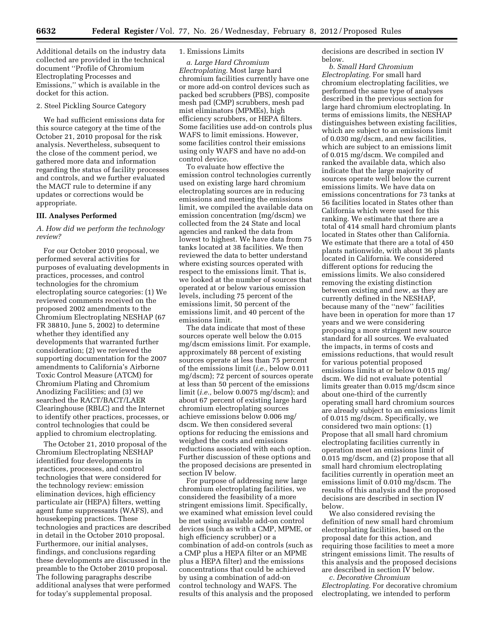Additional details on the industry data collected are provided in the technical document ''Profile of Chromium Electroplating Processes and Emissions,'' which is available in the docket for this action.

#### 2. Steel Pickling Source Category

We had sufficient emissions data for this source category at the time of the October 21, 2010 proposal for the risk analysis. Nevertheless, subsequent to the close of the comment period, we gathered more data and information regarding the status of facility processes and controls, and we further evaluated the MACT rule to determine if any updates or corrections would be appropriate.

#### **III. Analyses Performed**

# *A. How did we perform the technology review?*

For our October 2010 proposal, we performed several activities for purposes of evaluating developments in practices, processes, and control technologies for the chromium electroplating source categories: (1) We reviewed comments received on the proposed 2002 amendments to the Chromium Electroplating NESHAP (67 FR 38810, June 5, 2002) to determine whether they identified any developments that warranted further consideration; (2) we reviewed the supporting documentation for the 2007 amendments to California's Airborne Toxic Control Measure (ATCM) for Chromium Plating and Chromium Anodizing Facilities; and (3) we searched the RACT/BACT/LAER Clearinghouse (RBLC) and the Internet to identify other practices, processes, or control technologies that could be applied to chromium electroplating.

The October 21, 2010 proposal of the Chromium Electroplating NESHAP identified four developments in practices, processes, and control technologies that were considered for the technology review: emission elimination devices, high efficiency particulate air (HEPA) filters, wetting agent fume suppressants (WAFS), and housekeeping practices. These technologies and practices are described in detail in the October 2010 proposal. Furthermore, our initial analyses, findings, and conclusions regarding these developments are discussed in the preamble to the October 2010 proposal. The following paragraphs describe additional analyses that were performed for today's supplemental proposal.

# 1. Emissions Limits

*a. Large Hard Chromium Electroplating.* Most large hard chromium facilities currently have one or more add-on control devices such as packed bed scrubbers (PBS), composite mesh pad (CMP) scrubbers, mesh pad mist eliminators (MPMEs), high efficiency scrubbers, or HEPA filters. Some facilities use add-on controls plus WAFS to limit emissions. However, some facilities control their emissions using only WAFS and have no add-on control device.

To evaluate how effective the emission control technologies currently used on existing large hard chromium electroplating sources are in reducing emissions and meeting the emissions limit, we compiled the available data on emission concentration (mg/dscm) we collected from the 24 State and local agencies and ranked the data from lowest to highest. We have data from 75 tanks located at 38 facilities. We then reviewed the data to better understand where existing sources operated with respect to the emissions limit. That is, we looked at the number of sources that operated at or below various emission levels, including 75 percent of the emissions limit, 50 percent of the emissions limit, and 40 percent of the emissions limit.

The data indicate that most of these sources operate well below the 0.015 mg/dscm emissions limit. For example, approximately 88 percent of existing sources operate at less than 75 percent of the emissions limit (*i.e.,* below 0.011 mg/dscm); 72 percent of sources operate at less than 50 percent of the emissions limit (*i.e.,* below 0.0075 mg/dscm); and about 67 percent of existing large hard chromium electroplating sources achieve emissions below 0.006 mg/ dscm. We then considered several options for reducing the emissions and weighed the costs and emissions reductions associated with each option. Further discussion of these options and the proposed decisions are presented in section IV below.

For purpose of addressing new large chromium electroplating facilities, we considered the feasibility of a more stringent emissions limit. Specifically, we examined what emission level could be met using available add-on control devices (such as with a CMP, MPME, or high efficiency scrubber) or a combination of add-on controls (such as a CMP plus a HEPA filter or an MPME plus a HEPA filter) and the emissions concentrations that could be achieved by using a combination of add-on control technology and WAFS. The results of this analysis and the proposed decisions are described in section IV below.

*b. Small Hard Chromium Electroplating.* For small hard chromium electroplating facilities, we performed the same type of analyses described in the previous section for large hard chromium electroplating. In terms of emissions limits, the NESHAP distinguishes between existing facilities, which are subject to an emissions limit of 0.030 mg/dscm, and new facilities, which are subject to an emissions limit of 0.015 mg/dscm. We compiled and ranked the available data, which also indicate that the large majority of sources operate well below the current emissions limits. We have data on emissions concentrations for 73 tanks at 56 facilities located in States other than California which were used for this ranking. We estimate that there are a total of 414 small hard chromium plants located in States other than California. We estimate that there are a total of 450 plants nationwide, with about 36 plants located in California. We considered different options for reducing the emissions limits. We also considered removing the existing distinction between existing and new, as they are currently defined in the NESHAP, because many of the ''new'' facilities have been in operation for more than 17 years and we were considering proposing a more stringent new source standard for all sources. We evaluated the impacts, in terms of costs and emissions reductions, that would result for various potential proposed emissions limits at or below 0.015 mg/ dscm. We did not evaluate potential limits greater than 0.015 mg/dscm since about one-third of the currently operating small hard chromium sources are already subject to an emissions limit of 0.015 mg/dscm. Specifically, we considered two main options: (1) Propose that all small hard chromium electroplating facilities currently in operation meet an emissions limit of 0.015 mg/dscm, and (2) propose that all small hard chromium electroplating facilities currently in operation meet an emissions limit of 0.010 mg/dscm. The results of this analysis and the proposed decisions are described in section IV below.

We also considered revising the definition of new small hard chromium electroplating facilities, based on the proposal date for this action, and requiring those facilities to meet a more stringent emissions limit. The results of this analysis and the proposed decisions are described in section IV below.

*c. Decorative Chromium Electroplating.* For decorative chromium electroplating, we intended to perform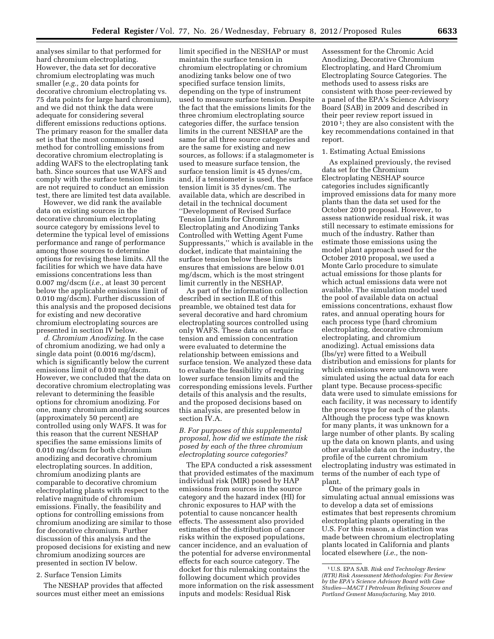analyses similar to that performed for hard chromium electroplating. However, the data set for decorative chromium electroplating was much smaller (*e.g.,* 20 data points for decorative chromium electroplating vs. 75 data points for large hard chromium), and we did not think the data were adequate for considering several different emissions reductions options. The primary reason for the smaller data set is that the most commonly used method for controlling emissions from decorative chromium electroplating is adding WAFS to the electroplating tank bath. Since sources that use WAFS and comply with the surface tension limits are not required to conduct an emission test, there are limited test data available.

However, we did rank the available data on existing sources in the decorative chromium electroplating source category by emissions level to determine the typical level of emissions performance and range of performance among those sources to determine options for revising these limits. All the facilities for which we have data have emissions concentrations less than 0.007 mg/dscm (*i.e.,* at least 30 percent below the applicable emissions limit of 0.010 mg/dscm). Further discussion of this analysis and the proposed decisions for existing and new decorative chromium electroplating sources are presented in section IV below.

*d. Chromium Anodizing.* In the case of chromium anodizing, we had only a single data point (0.0016 mg/dscm), which is significantly below the current emissions limit of 0.010 mg/dscm. However, we concluded that the data on decorative chromium electroplating was relevant to determining the feasible options for chromium anodizing. For one, many chromium anodizing sources (approximately 50 percent) are controlled using only WAFS. It was for this reason that the current NESHAP specifies the same emissions limits of 0.010 mg/dscm for both chromium anodizing and decorative chromium electroplating sources. In addition, chromium anodizing plants are comparable to decorative chromium electroplating plants with respect to the relative magnitude of chromium emissions. Finally, the feasibility and options for controlling emissions from chromium anodizing are similar to those for decorative chromium. Further discussion of this analysis and the proposed decisions for existing and new chromium anodizing sources are presented in section IV below.

#### 2. Surface Tension Limits

The NESHAP provides that affected sources must either meet an emissions

limit specified in the NESHAP or must maintain the surface tension in chromium electroplating or chromium anodizing tanks below one of two specified surface tension limits, depending on the type of instrument used to measure surface tension. Despite the fact that the emissions limits for the three chromium electroplating source categories differ, the surface tension limits in the current NESHAP are the same for all three source categories and are the same for existing and new sources, as follows: if a stalagmometer is used to measure surface tension, the surface tension limit is 45 dynes/cm, and, if a tensiometer is used, the surface tension limit is 35 dynes/cm. The available data, which are described in detail in the technical document ''Development of Revised Surface Tension Limits for Chromium Electroplating and Anodizing Tanks Controlled with Wetting Agent Fume Suppressants,'' which is available in the docket, indicate that maintaining the surface tension below these limits ensures that emissions are below 0.01 mg/dscm, which is the most stringent limit currently in the NESHAP.

As part of the information collection described in section II.E of this preamble, we obtained test data for several decorative and hard chromium electroplating sources controlled using only WAFS. These data on surface tension and emission concentration were evaluated to determine the relationship between emissions and surface tension. We analyzed these data to evaluate the feasibility of requiring lower surface tension limits and the corresponding emissions levels. Further details of this analysis and the results, and the proposed decisions based on this analysis, are presented below in section IV.A.

# *B. For purposes of this supplemental proposal, how did we estimate the risk posed by each of the three chromium electroplating source categories?*

The EPA conducted a risk assessment that provided estimates of the maximum individual risk (MIR) posed by HAP emissions from sources in the source category and the hazard index (HI) for chronic exposures to HAP with the potential to cause noncancer health effects. The assessment also provided estimates of the distribution of cancer risks within the exposed populations, cancer incidence, and an evaluation of the potential for adverse environmental effects for each source category. The docket for this rulemaking contains the following document which provides more information on the risk assessment inputs and models: Residual Risk

Assessment for the Chromic Acid Anodizing, Decorative Chromium Electroplating, and Hard Chromium Electroplating Source Categories. The methods used to assess risks are consistent with those peer-reviewed by a panel of the EPA's Science Advisory Board (SAB) in 2009 and described in their peer review report issued in 2010 1; they are also consistent with the key recommendations contained in that report.

#### 1. Estimating Actual Emissions

As explained previously, the revised data set for the Chromium Electroplating NESHAP source categories includes significantly improved emissions data for many more plants than the data set used for the October 2010 proposal. However, to assess nationwide residual risk, it was still necessary to estimate emissions for much of the industry. Rather than estimate those emissions using the model plant approach used for the October 2010 proposal, we used a Monte Carlo procedure to simulate actual emissions for those plants for which actual emissions data were not available. The simulation model used the pool of available data on actual emissions concentrations, exhaust flow rates, and annual operating hours for each process type (hard chromium electroplating, decorative chromium electroplating, and chromium anodizing). Actual emissions data (lbs/yr) were fitted to a Weibull distribution and emissions for plants for which emissions were unknown were simulated using the actual data for each plant type. Because process-specific data were used to simulate emissions for each facility, it was necessary to identify the process type for each of the plants. Although the process type was known for many plants, it was unknown for a large number of other plants. By scaling up the data on known plants, and using other available data on the industry, the profile of the current chromium electroplating industry was estimated in terms of the number of each type of plant.

One of the primary goals in simulating actual annual emissions was to develop a data set of emissions estimates that best represents chromium electroplating plants operating in the U.S. For this reason, a distinction was made between chromium electroplating plants located in California and plants located elsewhere (*i.e.,* the non-

<sup>1</sup>U.S. EPA SAB. *Risk and Technology Review (RTR) Risk Assessment Methodologies: For Review by the EPA's Science Advisory Board with Case Studies—MACT I Petroleum Refining Sources and Portland Cement Manufacturing,* May 2010.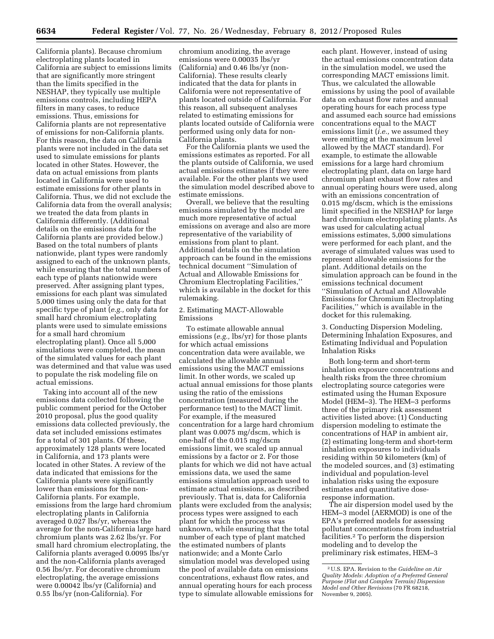California plants). Because chromium electroplating plants located in California are subject to emissions limits that are significantly more stringent than the limits specified in the NESHAP, they typically use multiple emissions controls, including HEPA filters in many cases, to reduce emissions. Thus, emissions for California plants are not representative of emissions for non-California plants. For this reason, the data on California plants were not included in the data set used to simulate emissions for plants located in other States. However, the data on actual emissions from plants located in California were used to estimate emissions for other plants in California. Thus, we did not exclude the California data from the overall analysis; we treated the data from plants in California differently. (Additional details on the emissions data for the California plants are provided below.) Based on the total numbers of plants nationwide, plant types were randomly assigned to each of the unknown plants, while ensuring that the total numbers of each type of plants nationwide were preserved. After assigning plant types,

emissions for each plant was simulated 5,000 times using only the data for that specific type of plant (*e.g.,* only data for small hard chromium electroplating plants were used to simulate emissions for a small hard chromium electroplating plant). Once all 5,000 simulations were completed, the mean of the simulated values for each plant was determined and that value was used to populate the risk modeling file on actual emissions.

Taking into account all of the new emissions data collected following the public comment period for the October 2010 proposal, plus the good quality emissions data collected previously, the data set included emissions estimates for a total of 301 plants. Of these, approximately 128 plants were located in California, and 173 plants were located in other States. A review of the data indicated that emissions for the California plants were significantly lower than emissions for the non-California plants. For example, emissions from the large hard chromium electroplating plants in California averaged 0.027 lbs/yr, whereas the average for the non-California large hard chromium plants was 2.62 lbs/yr. For small hard chromium electroplating, the California plants averaged 0.0095 lbs/yr and the non-California plants averaged 0.56 lbs/yr. For decorative chromium electroplating, the average emissions were 0.00042 lbs/yr (California) and 0.55 lbs/yr (non-California). For

chromium anodizing, the average emissions were 0.00035 lbs/yr (California) and 0.46 lbs/yr (non-California). These results clearly indicated that the data for plants in California were not representative of plants located outside of California. For this reason, all subsequent analyses related to estimating emissions for plants located outside of California were performed using only data for non-California plants.

For the California plants we used the emissions estimates as reported. For all the plants outside of California, we used actual emissions estimates if they were available. For the other plants we used the simulation model described above to estimate emissions.

Overall, we believe that the resulting emissions simulated by the model are much more representative of actual emissions on average and also are more representative of the variability of emissions from plant to plant. Additional details on the simulation approach can be found in the emissions technical document ''Simulation of Actual and Allowable Emissions for Chromium Electroplating Facilities,'' which is available in the docket for this rulemaking.

# 2. Estimating MACT-Allowable Emissions

To estimate allowable annual emissions (*e.g.,* lbs/yr) for those plants for which actual emissions concentration data were available, we calculated the allowable annual emissions using the MACT emissions limit. In other words, we scaled up actual annual emissions for those plants using the ratio of the emissions concentration (measured during the performance test) to the MACT limit. For example, if the measured concentration for a large hard chromium plant was 0.0075 mg/dscm, which is one-half of the 0.015 mg/dscm emissions limit, we scaled up annual emissions by a factor or 2. For those plants for which we did not have actual emissions data, we used the same emissions simulation approach used to estimate actual emissions, as described previously. That is, data for California plants were excluded from the analysis; process types were assigned to each plant for which the process was unknown, while ensuring that the total number of each type of plant matched the estimated numbers of plants nationwide; and a Monte Carlo simulation model was developed using the pool of available data on emissions concentrations, exhaust flow rates, and annual operating hours for each process type to simulate allowable emissions for

each plant. However, instead of using the actual emissions concentration data in the simulation model, we used the corresponding MACT emissions limit. Thus, we calculated the allowable emissions by using the pool of available data on exhaust flow rates and annual operating hours for each process type and assumed each source had emissions concentrations equal to the MACT emissions limit (*i.e.,* we assumed they were emitting at the maximum level allowed by the MACT standard). For example, to estimate the allowable emissions for a large hard chromium electroplating plant, data on large hard chromium plant exhaust flow rates and annual operating hours were used, along with an emissions concentration of 0.015 mg/dscm, which is the emissions limit specified in the NESHAP for large hard chromium electroplating plants. As was used for calculating actual emissions estimates, 5,000 simulations were performed for each plant, and the average of simulated values was used to represent allowable emissions for the plant. Additional details on the simulation approach can be found in the emissions technical document ''Simulation of Actual and Allowable Emissions for Chromium Electroplating Facilities,'' which is available in the docket for this rulemaking.

3. Conducting Dispersion Modeling, Determining Inhalation Exposures, and Estimating Individual and Population Inhalation Risks

Both long-term and short-term inhalation exposure concentrations and health risks from the three chromium electroplating source categories were estimated using the Human Exposure Model (HEM–3). The HEM–3 performs three of the primary risk assessment activities listed above: (1) Conducting dispersion modeling to estimate the concentrations of HAP in ambient air, (2) estimating long-term and short-term inhalation exposures to individuals residing within 50 kilometers (km) of the modeled sources, and (3) estimating individual and population-level inhalation risks using the exposure estimates and quantitative doseresponse information.

The air dispersion model used by the HEM–3 model (AERMOD) is one of the EPA's preferred models for assessing pollutant concentrations from industrial facilities.2 To perform the dispersion modeling and to develop the preliminary risk estimates, HEM–3

<sup>2</sup>U.S. EPA. Revision to the *Guideline on Air Quality Models: Adoption of a Preferred General Purpose (Flat and Complex Terrain) Dispersion Model and Other Revisions* (70 FR 68218, November 9, 2005).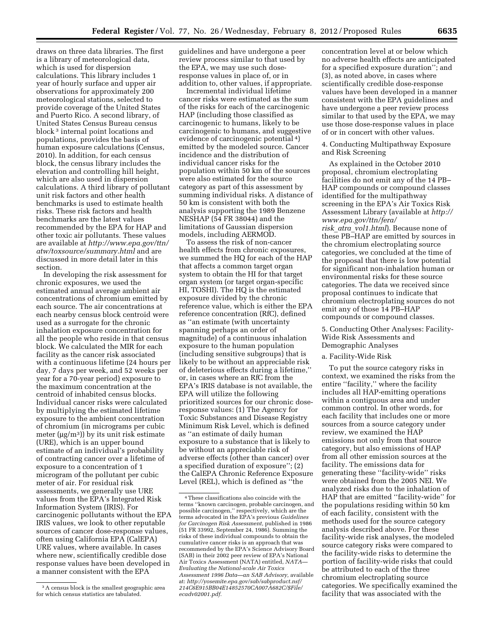draws on three data libraries. The first is a library of meteorological data, which is used for dispersion calculations. This library includes 1 year of hourly surface and upper air observations for approximately 200 meteorological stations, selected to provide coverage of the United States and Puerto Rico. A second library, of United States Census Bureau census block 3 internal point locations and populations, provides the basis of human exposure calculations (Census, 2010). In addition, for each census block, the census library includes the elevation and controlling hill height, which are also used in dispersion calculations. A third library of pollutant unit risk factors and other health benchmarks is used to estimate health risks. These risk factors and health benchmarks are the latest values recommended by the EPA for HAP and other toxic air pollutants. These values are available at *[http://www.epa.gov/ttn/](http://www.epa.gov/ttn/atw/toxsource/summary.html) [atw/toxsource/summary.html](http://www.epa.gov/ttn/atw/toxsource/summary.html)* and are discussed in more detail later in this section.

In developing the risk assessment for chronic exposures, we used the estimated annual average ambient air concentrations of chromium emitted by each source. The air concentrations at each nearby census block centroid were used as a surrogate for the chronic inhalation exposure concentration for all the people who reside in that census block. We calculated the MIR for each facility as the cancer risk associated with a continuous lifetime (24 hours per day, 7 days per week, and 52 weeks per year for a 70-year period) exposure to the maximum concentration at the centroid of inhabited census blocks. Individual cancer risks were calculated by multiplying the estimated lifetime exposure to the ambient concentration of chromium (in micrograms per cubic meter ( $\mu$ g/m<sup>3</sup>)) by its unit risk estimate (URE), which is an upper bound estimate of an individual's probability of contracting cancer over a lifetime of exposure to a concentration of 1 microgram of the pollutant per cubic meter of air. For residual risk assessments, we generally use URE values from the EPA's Integrated Risk Information System (IRIS). For carcinogenic pollutants without the EPA IRIS values, we look to other reputable sources of cancer dose-response values, often using California EPA (CalEPA) URE values, where available. In cases where new, scientifically credible dose response values have been developed in a manner consistent with the EPA

guidelines and have undergone a peer review process similar to that used by the EPA, we may use such doseresponse values in place of, or in addition to, other values, if appropriate.

Incremental individual lifetime cancer risks were estimated as the sum of the risks for each of the carcinogenic HAP (including those classified as carcinogenic to humans, likely to be carcinogenic to humans, and suggestive evidence of carcinogenic potential 4) emitted by the modeled source. Cancer incidence and the distribution of individual cancer risks for the population within 50 km of the sources were also estimated for the source category as part of this assessment by summing individual risks. A distance of 50 km is consistent with both the analysis supporting the 1989 Benzene NESHAP (54 FR 38044) and the limitations of Gaussian dispersion models, including AERMOD.

To assess the risk of non-cancer health effects from chronic exposures, we summed the HQ for each of the HAP that affects a common target organ system to obtain the HI for that target organ system (or target organ-specific HI, TOSHI). The HQ is the estimated exposure divided by the chronic reference value, which is either the EPA reference concentration (RfC), defined as ''an estimate (with uncertainty spanning perhaps an order of magnitude) of a continuous inhalation exposure to the human population (including sensitive subgroups) that is likely to be without an appreciable risk of deleterious effects during a lifetime,'' or, in cases where an RfC from the EPA's IRIS database is not available, the EPA will utilize the following prioritized sources for our chronic doseresponse values: (1) The Agency for Toxic Substances and Disease Registry Minimum Risk Level, which is defined as ''an estimate of daily human exposure to a substance that is likely to be without an appreciable risk of adverse effects (other than cancer) over a specified duration of exposure''; (2) the CalEPA Chronic Reference Exposure Level (REL), which is defined as ''the

concentration level at or below which no adverse health effects are anticipated for a specified exposure duration''; and (3), as noted above, in cases where scientifically credible dose-response values have been developed in a manner consistent with the EPA guidelines and have undergone a peer review process similar to that used by the EPA, we may use those dose-response values in place of or in concert with other values.

# 4. Conducting Multipathway Exposure and Risk Screening

As explained in the October 2010 proposal, chromium electroplating facilities do not emit any of the 14 PB– HAP compounds or compound classes identified for the multipathway screening in the EPA's Air Toxics Risk Assessment Library (available at *[http://](http://www.epa.gov/ttn/fera/risk_atra_vol1.html) [www.epa.gov/ttn/fera/](http://www.epa.gov/ttn/fera/risk_atra_vol1.html)  risk*\_*atra*\_*[vol1.html](http://www.epa.gov/ttn/fera/risk_atra_vol1.html)*). Because none of these PB–HAP are emitted by sources in the chromium electroplating source categories, we concluded at the time of the proposal that there is low potential for significant non-inhalation human or environmental risks for these source categories. The data we received since proposal continues to indicate that chromium electroplating sources do not emit any of those 14 PB–HAP compounds or compound classes.

5. Conducting Other Analyses: Facility-Wide Risk Assessments and Demographic Analyses

#### a. Facility-Wide Risk

To put the source category risks in context, we examined the risks from the entire ''facility,'' where the facility includes all HAP-emitting operations within a contiguous area and under common control. In other words, for each facility that includes one or more sources from a source category under review, we examined the HAP emissions not only from that source category, but also emissions of HAP from all other emission sources at the facility. The emissions data for generating these ''facility-wide'' risks were obtained from the 2005 NEI. We analyzed risks due to the inhalation of HAP that are emitted ''facility-wide'' for the populations residing within 50 km of each facility, consistent with the methods used for the source category analysis described above. For these facility-wide risk analyses, the modeled source category risks were compared to the facility-wide risks to determine the portion of facility-wide risks that could be attributed to each of the three chromium electroplating source categories. We specifically examined the facility that was associated with the

<sup>3</sup>A census block is the smallest geographic area for which census statistics are tabulated.

<sup>4</sup>These classifications also coincide with the terms ''known carcinogen, probable carcinogen, and possible carcinogen,'' respectively, which are the terms advocated in the EPA's previous *Guidelines for Carcinogen Risk Assessment,* published in 1986 (51 FR 33992, September 24, 1986). Summing the risks of these individual compounds to obtain the cumulative cancer risks is an approach that was recommended by the EPA's Science Advisory Board (SAB) in their 2002 peer review of EPA's National Air Toxics Assessment (NATA) entitled, *NATA— Evaluating the National-scale Air Toxics Assessment 1996 Data—an SAB Advisory,* available at: *[http://yosemite.epa.gov/sab/sabproduct.nsf/](http://yosemite.epa.gov/sab/sabproduct.nsf/214C6E915BB04E14852570CA007A682C/$File/ecadv02001.pdf) [214C6E915BB04E14852570CA007A682C/\\$File/](http://yosemite.epa.gov/sab/sabproduct.nsf/214C6E915BB04E14852570CA007A682C/$File/ecadv02001.pdf) [ecadv02001.pdf.](http://yosemite.epa.gov/sab/sabproduct.nsf/214C6E915BB04E14852570CA007A682C/$File/ecadv02001.pdf)*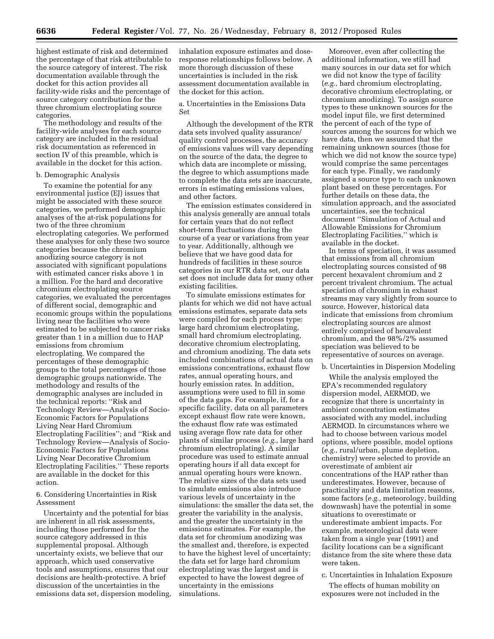highest estimate of risk and determined the percentage of that risk attributable to the source category of interest. The risk documentation available through the docket for this action provides all facility-wide risks and the percentage of source category contribution for the three chromium electroplating source categories.

The methodology and results of the facility-wide analyses for each source category are included in the residual risk documentation as referenced in section IV of this preamble, which is available in the docket for this action.

#### b. Demographic Analysis

To examine the potential for any environmental justice (EJ) issues that might be associated with these source categories, we performed demographic analyses of the at-risk populations for two of the three chromium electroplating categories. We performed these analyses for only these two source categories because the chromium anodizing source category is not associated with significant populations with estimated cancer risks above 1 in a million. For the hard and decorative chromium electroplating source categories, we evaluated the percentages of different social, demographic and economic groups within the populations living near the facilities who were estimated to be subjected to cancer risks greater than 1 in a million due to HAP emissions from chromium electroplating. We compared the percentages of these demographic groups to the total percentages of those demographic groups nationwide. The methodology and results of the demographic analyses are included in the technical reports: ''Risk and Technology Review—Analysis of Socio-Economic Factors for Populations Living Near Hard Chromium Electroplating Facilities''; and ''Risk and Technology Review—Analysis of Socio-Economic Factors for Populations Living Near Decorative Chromium Electroplating Facilities.'' These reports are available in the docket for this action.

6. Considering Uncertainties in Risk Assessment

Uncertainty and the potential for bias are inherent in all risk assessments, including those performed for the source category addressed in this supplemental proposal. Although uncertainty exists, we believe that our approach, which used conservative tools and assumptions, ensures that our decisions are health-protective. A brief discussion of the uncertainties in the emissions data set, dispersion modeling,

inhalation exposure estimates and doseresponse relationships follows below. A more thorough discussion of these uncertainties is included in the risk assessment documentation available in the docket for this action.

a. Uncertainties in the Emissions Data Set

Although the development of the RTR data sets involved quality assurance/ quality control processes, the accuracy of emissions values will vary depending on the source of the data, the degree to which data are incomplete or missing, the degree to which assumptions made to complete the data sets are inaccurate, errors in estimating emissions values, and other factors.

The emission estimates considered in this analysis generally are annual totals for certain years that do not reflect short-term fluctuations during the course of a year or variations from year to year. Additionally, although we believe that we have good data for hundreds of facilities in these source categories in our RTR data set, our data set does not include data for many other existing facilities.

To simulate emissions estimates for plants for which we did not have actual emissions estimates, separate data sets were compiled for each process type: large hard chromium electroplating, small hard chromium electroplating, decorative chromium electroplating, and chromium anodizing. The data sets included combinations of actual data on emissions concentrations, exhaust flow rates, annual operating hours, and hourly emission rates. In addition, assumptions were used to fill in some of the data gaps. For example, if, for a specific facility, data on all parameters except exhaust flow rate were known, the exhaust flow rate was estimated using average flow rate data for other plants of similar process (*e.g.,* large hard chromium electroplating). A similar procedure was used to estimate annual operating hours if all data except for annual operating hours were known. The relative sizes of the data sets used to simulate emissions also introduce various levels of uncertainty in the simulations: the smaller the data set, the greater the variability in the analysis, and the greater the uncertainty in the emissions estimates. For example, the data set for chromium anodizing was the smallest and, therefore, is expected to have the highest level of uncertainty; the data set for large hard chromium electroplating was the largest and is expected to have the lowest degree of uncertainty in the emissions simulations.

Moreover, even after collecting the additional information, we still had many sources in our data set for which we did not know the type of facility (*e.g.,* hard chromium electroplating, decorative chromium electroplating, or chromium anodizing). To assign source types to these unknown sources for the model input file, we first determined the percent of each of the type of sources among the sources for which we have data, then we assumed that the remaining unknown sources (those for which we did not know the source type) would comprise the same percentages for each type. Finally, we randomly assigned a source type to each unknown plant based on these percentages. For further details on these data, the simulation approach, and the associated uncertainties, see the technical document ''Simulation of Actual and Allowable Emissions for Chromium Electroplating Facilities,'' which is available in the docket.

In terms of speciation, it was assumed that emissions from all chromium electroplating sources consisted of 98 percent hexavalent chromium and 2 percent trivalent chromium. The actual speciation of chromium in exhaust streams may vary slightly from source to source. However, historical data indicate that emissions from chromium electroplating sources are almost entirely comprised of hexavalent chromium, and the 98%/2% assumed speciation was believed to be representative of sources on average.

# b. Uncertainties in Dispersion Modeling

While the analysis employed the EPA's recommended regulatory dispersion model, AERMOD, we recognize that there is uncertainty in ambient concentration estimates associated with any model, including AERMOD. In circumstances where we had to choose between various model options, where possible, model options (*e.g.,* rural/urban, plume depletion, chemistry) were selected to provide an overestimate of ambient air concentrations of the HAP rather than underestimates. However, because of practicality and data limitation reasons, some factors (*e.g.,* meteorology, building downwash) have the potential in some situations to overestimate or underestimate ambient impacts. For example, meteorological data were taken from a single year (1991) and facility locations can be a significant distance from the site where these data were taken.

c. Uncertainties in Inhalation Exposure

The effects of human mobility on exposures were not included in the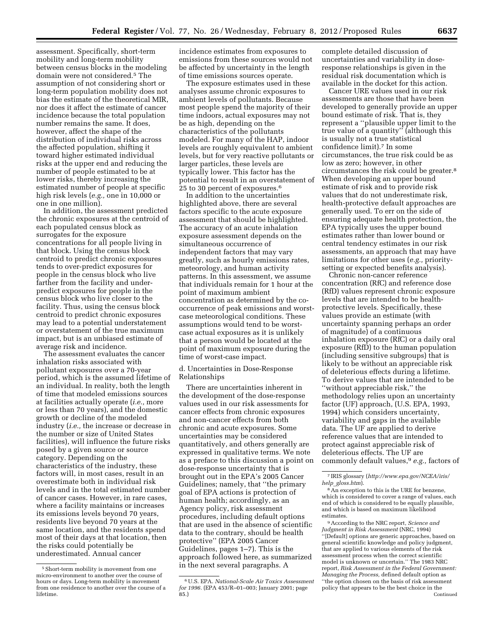assessment. Specifically, short-term mobility and long-term mobility between census blocks in the modeling domain were not considered.5 The assumption of not considering short or long-term population mobility does not bias the estimate of the theoretical MIR, nor does it affect the estimate of cancer incidence because the total population number remains the same. It does, however, affect the shape of the distribution of individual risks across the affected population, shifting it toward higher estimated individual risks at the upper end and reducing the number of people estimated to be at lower risks, thereby increasing the estimated number of people at specific high risk levels (*e.g.,* one in 10,000 or one in one million).

In addition, the assessment predicted the chronic exposures at the centroid of each populated census block as surrogates for the exposure concentrations for all people living in that block. Using the census block centroid to predict chronic exposures tends to over-predict exposures for people in the census block who live farther from the facility and underpredict exposures for people in the census block who live closer to the facility. Thus, using the census block centroid to predict chronic exposures may lead to a potential understatement or overstatement of the true maximum impact, but is an unbiased estimate of average risk and incidence.

The assessment evaluates the cancer inhalation risks associated with pollutant exposures over a 70-year period, which is the assumed lifetime of an individual. In reality, both the length of time that modeled emissions sources at facilities actually operate (*i.e.,* more or less than 70 years), and the domestic growth or decline of the modeled industry (*i.e.,* the increase or decrease in the number or size of United States facilities), will influence the future risks posed by a given source or source category. Depending on the characteristics of the industry, these factors will, in most cases, result in an overestimate both in individual risk levels and in the total estimated number of cancer cases. However, in rare cases, where a facility maintains or increases its emissions levels beyond 70 years, residents live beyond 70 years at the same location, and the residents spend most of their days at that location, then the risks could potentially be underestimated. Annual cancer

incidence estimates from exposures to emissions from these sources would not be affected by uncertainty in the length of time emissions sources operate.

The exposure estimates used in these analyses assume chronic exposures to ambient levels of pollutants. Because most people spend the majority of their time indoors, actual exposures may not be as high, depending on the characteristics of the pollutants modeled. For many of the HAP, indoor levels are roughly equivalent to ambient levels, but for very reactive pollutants or larger particles, these levels are typically lower. This factor has the potential to result in an overstatement of 25 to 30 percent of exposures.6

In addition to the uncertainties highlighted above, there are several factors specific to the acute exposure assessment that should be highlighted. The accuracy of an acute inhalation exposure assessment depends on the simultaneous occurrence of independent factors that may vary greatly, such as hourly emissions rates, meteorology, and human activity patterns. In this assessment, we assume that individuals remain for 1 hour at the point of maximum ambient concentration as determined by the cooccurrence of peak emissions and worstcase meteorological conditions. These assumptions would tend to be worstcase actual exposures as it is unlikely that a person would be located at the point of maximum exposure during the time of worst-case impact.

d. Uncertainties in Dose-Response Relationships

There are uncertainties inherent in the development of the dose-response values used in our risk assessments for cancer effects from chronic exposures and non-cancer effects from both chronic and acute exposures. Some uncertainties may be considered quantitatively, and others generally are expressed in qualitative terms. We note as a preface to this discussion a point on dose-response uncertainty that is brought out in the EPA's 2005 Cancer Guidelines; namely, that ''the primary goal of EPA actions is protection of human health; accordingly, as an Agency policy, risk assessment procedures, including default options that are used in the absence of scientific data to the contrary, should be health protective'' (EPA 2005 Cancer Guidelines, pages 1–7). This is the approach followed here, as summarized in the next several paragraphs. A

complete detailed discussion of uncertainties and variability in doseresponse relationships is given in the residual risk documentation which is available in the docket for this action.

Cancer URE values used in our risk assessments are those that have been developed to generally provide an upper bound estimate of risk. That is, they represent a ''plausible upper limit to the true value of a quantity'' (although this is usually not a true statistical confidence limit).7 In some circumstances, the true risk could be as low as zero; however, in other circumstances the risk could be greater.8 When developing an upper bound estimate of risk and to provide risk values that do not underestimate risk, health-protective default approaches are generally used. To err on the side of ensuring adequate health protection, the EPA typically uses the upper bound estimates rather than lower bound or central tendency estimates in our risk assessments, an approach that may have limitations for other uses (*e.g.,* prioritysetting or expected benefits analysis).

Chronic non-cancer reference concentration (RfC) and reference dose (RfD) values represent chronic exposure levels that are intended to be healthprotective levels. Specifically, these values provide an estimate (with uncertainty spanning perhaps an order of magnitude) of a continuous inhalation exposure (RfC) or a daily oral exposure (RfD) to the human population (including sensitive subgroups) that is likely to be without an appreciable risk of deleterious effects during a lifetime. To derive values that are intended to be ''without appreciable risk,'' the methodology relies upon an uncertainty factor (UF) approach, (U.S. EPA, 1993, 1994) which considers uncertainty, variability and gaps in the available data. The UF are applied to derive reference values that are intended to protect against appreciable risk of deleterious effects. The UF are commonly default values,9 *e.g.,* factors of

9According to the NRC report, *Science and Judgment in Risk Assessment* (NRC, 1994) ''[Default] options are generic approaches, based on general scientific knowledge and policy judgment, that are applied to various elements of the risk assessment process when the correct scientific model is unknown or uncertain.'' The 1983 NRC report, *Risk Assessment in the Federal Government: Managing the Process,* defined default option as ''the option chosen on the basis of risk assessment policy that appears to be the best choice in the Continued

<sup>5</sup>Short-term mobility is movement from one micro-environment to another over the course of hours or days. Long-term mobility is movement from one residence to another over the course of a lifetime.

<sup>6</sup>U.S. EPA. *National-Scale Air Toxics Assessment for 1996.* (EPA 453/R–01–003; January 2001; page 85.)

<sup>7</sup> IRIS glossary (*[http://www.epa.gov/NCEA/iris/](http://www.epa.gov/NCEA/iris/help_gloss.htm) help*\_*[gloss.htm](http://www.epa.gov/NCEA/iris/help_gloss.htm)*).

<sup>8</sup>An exception to this is the URE for benzene, which is considered to cover a range of values, each end of which is considered to be equally plausible, and which is based on maximum likelihood estimates.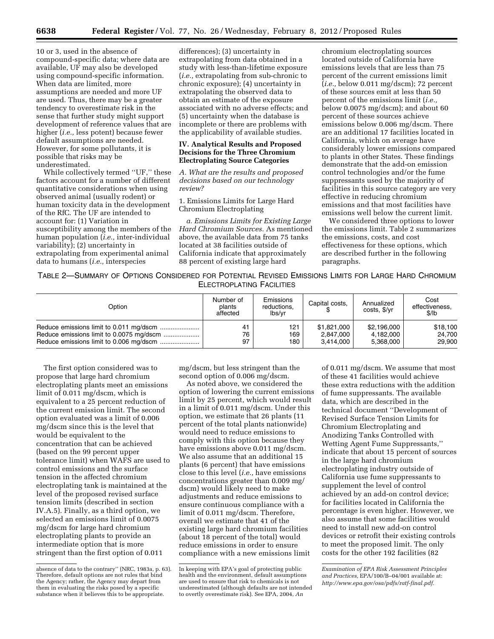10 or 3, used in the absence of compound-specific data; where data are available, UF may also be developed using compound-specific information. When data are limited, more assumptions are needed and more UF are used. Thus, there may be a greater tendency to overestimate risk in the sense that further study might support development of reference values that are higher (*i.e.,* less potent) because fewer default assumptions are needed. However, for some pollutants, it is possible that risks may be underestimated.

While collectively termed ''UF,'' these factors account for a number of different quantitative considerations when using observed animal (usually rodent) or human toxicity data in the development of the RfC. The UF are intended to account for: (1) Variation in susceptibility among the members of the human population (*i.e.,* inter-individual variability); (2) uncertainty in extrapolating from experimental animal data to humans (*i.e.,* interspecies

differences); (3) uncertainty in extrapolating from data obtained in a study with less-than-lifetime exposure (*i.e.,* extrapolating from sub-chronic to chronic exposure); (4) uncertainty in extrapolating the observed data to obtain an estimate of the exposure associated with no adverse effects; and (5) uncertainty when the database is incomplete or there are problems with the applicability of available studies.

# **IV. Analytical Results and Proposed Decisions for the Three Chromium Electroplating Source Categories**

*A. What are the results and proposed decisions based on our technology review?* 

1. Emissions Limits for Large Hard Chromium Electroplating

*a. Emissions Limits for Existing Large Hard Chromium Sources.* As mentioned above, the available data from 75 tanks located at 38 facilities outside of California indicate that approximately 88 percent of existing large hard

chromium electroplating sources located outside of California have emissions levels that are less than 75 percent of the current emissions limit (*i.e.,* below 0.011 mg/dscm); 72 percent of these sources emit at less than 50 percent of the emissions limit (*i.e.,*  below 0.0075 mg/dscm); and about 60 percent of these sources achieve emissions below 0.006 mg/dscm. There are an additional 17 facilities located in California, which on average have considerably lower emissions compared to plants in other States. These findings demonstrate that the add-on emission control technologies and/or the fume suppressants used by the majority of facilities in this source category are very effective in reducing chromium emissions and that most facilities have emissions well below the current limit.

We considered three options to lower the emissions limit. Table 2 summarizes the emissions, costs, and cost effectiveness for these options, which are described further in the following paragraphs.

TABLE 2—SUMMARY OF OPTIONS CONSIDERED FOR POTENTIAL REVISED EMISSIONS LIMITS FOR LARGE HARD CHROMIUM ELECTROPLATING FACILITIES

| Option | Number of<br>plants<br>affected | <b>Emissions</b><br>reductions,<br>lbs/vr | Capital costs, | Annualized<br>costs, \$/yr | Cost<br>effectiveness,<br>\$/lb |
|--------|---------------------------------|-------------------------------------------|----------------|----------------------------|---------------------------------|
|        | 41                              | 121                                       | \$1,821,000    | \$2,196,000                | \$18,100                        |
|        | 76                              | 169                                       | 2,847,000      | 4,182,000                  | 24.700                          |
|        | 97                              | 180                                       | 3.414.000      | 5.368.000                  | 29,900                          |

The first option considered was to propose that large hard chromium electroplating plants meet an emissions limit of 0.011 mg/dscm, which is equivalent to a 25 percent reduction of the current emission limit. The second option evaluated was a limit of 0.006 mg/dscm since this is the level that would be equivalent to the concentration that can be achieved (based on the 99 percent upper tolerance limit) when WAFS are used to control emissions and the surface tension in the affected chromium electroplating tank is maintained at the level of the proposed revised surface tension limits (described in section IV.A.5). Finally, as a third option, we selected an emissions limit of 0.0075 mg/dscm for large hard chromium electroplating plants to provide an intermediate option that is more stringent than the first option of 0.011

mg/dscm, but less stringent than the second option of 0.006 mg/dscm.

As noted above, we considered the option of lowering the current emissions limit by 25 percent, which would result in a limit of 0.011 mg/dscm. Under this option, we estimate that 26 plants (11 percent of the total plants nationwide) would need to reduce emissions to comply with this option because they have emissions above 0.011 mg/dscm. We also assume that an additional 15 plants (6 percent) that have emissions close to this level (*i.e.,* have emissions concentrations greater than 0.009 mg/ dscm) would likely need to make adjustments and reduce emissions to ensure continuous compliance with a limit of 0.011 mg/dscm. Therefore, overall we estimate that 41 of the existing large hard chromium facilities (about 18 percent of the total) would reduce emissions in order to ensure compliance with a new emissions limit

of 0.011 mg/dscm. We assume that most of these 41 facilities would achieve these extra reductions with the addition of fume suppressants. The available data, which are described in the technical document ''Development of Revised Surface Tension Limits for Chromium Electroplating and Anodizing Tanks Controlled with Wetting Agent Fume Suppressants,'' indicate that about 15 percent of sources in the large hard chromium electroplating industry outside of California use fume suppressants to supplement the level of control achieved by an add-on control device; for facilities located in California the percentage is even higher. However, we also assume that some facilities would need to install new add-on control devices or retrofit their existing controls to meet the proposed limit. The only costs for the other 192 facilities (82

*Examination of EPA Risk Assessment Principles and Practices,* EPA/100/B–04/001 available at: *[http://www.epa.gov/osa/pdfs/ratf-final.pdf.](http://www.epa.gov/osa/pdfs/ratf-final.pdf)* 

absence of data to the contrary'' (NRC, 1983a, p. 63). Therefore, default options are not rules that bind the Agency; rather, the Agency may depart from them in evaluating the risks posed by a specific substance when it believes this to be appropriate.

In keeping with EPA's goal of protecting public health and the environment, default assumptions are used to ensure that risk to chemicals is not underestimated (although defaults are not intended to overtly overestimate risk). See EPA, 2004, *An*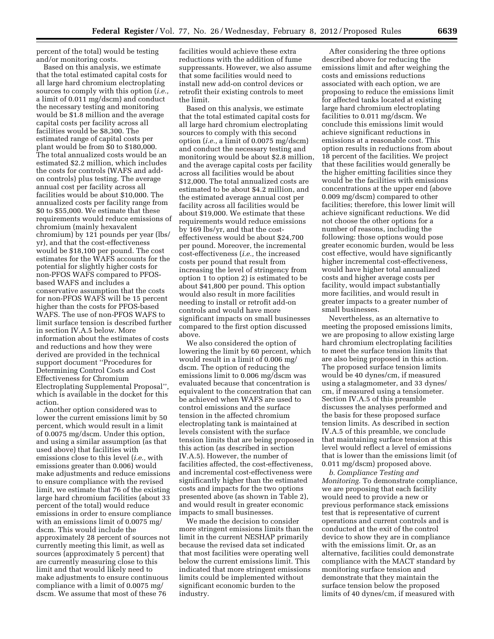percent of the total) would be testing and/or monitoring costs.

Based on this analysis, we estimate that the total estimated capital costs for all large hard chromium electroplating sources to comply with this option (*i.e.,*  a limit of 0.011 mg/dscm) and conduct the necessary testing and monitoring would be \$1.8 million and the average capital costs per facility across all facilities would be \$8,300. The estimated range of capital costs per plant would be from \$0 to \$180,000. The total annualized costs would be an estimated \$2.2 million, which includes the costs for controls (WAFS and addon controls) plus testing. The average annual cost per facility across all facilities would be about \$10,000. The annualized costs per facility range from \$0 to \$55,000. We estimate that these requirements would reduce emissions of chromium (mainly hexavalent chromium) by 121 pounds per year (lbs/ yr), and that the cost-effectiveness would be \$18,100 per pound. The cost estimates for the WAFS accounts for the potential for slightly higher costs for non-PFOS WAFS compared to PFOSbased WAFS and includes a conservative assumption that the costs for non-PFOS WAFS will be 15 percent higher than the costs for PFOS-based WAFS. The use of non-PFOS WAFS to limit surface tension is described further in section IV.A.5 below. More information about the estimates of costs and reductions and how they were derived are provided in the technical support document ''Procedures for Determining Control Costs and Cost Effectiveness for Chromium Electroplating Supplemental Proposal'', which is available in the docket for this action.

Another option considered was to lower the current emissions limit by 50 percent, which would result in a limit of 0.0075 mg/dscm. Under this option, and using a similar assumption (as that used above) that facilities with emissions close to this level (*i.e.,* with emissions greater than 0.006) would make adjustments and reduce emissions to ensure compliance with the revised limit, we estimate that 76 of the existing large hard chromium facilities (about 33 percent of the total) would reduce emissions in order to ensure compliance with an emissions limit of 0.0075 mg/ dscm. This would include the approximately 28 percent of sources not currently meeting this limit, as well as sources (approximately 5 percent) that are currently measuring close to this limit and that would likely need to make adjustments to ensure continuous compliance with a limit of 0.0075 mg/ dscm. We assume that most of these 76

facilities would achieve these extra reductions with the addition of fume suppressants. However, we also assume that some facilities would need to install new add-on control devices or retrofit their existing controls to meet the limit.

Based on this analysis, we estimate that the total estimated capital costs for all large hard chromium electroplating sources to comply with this second option (*i.e.,* a limit of 0.0075 mg/dscm) and conduct the necessary testing and monitoring would be about \$2.8 million, and the average capital costs per facility across all facilities would be about \$12,000. The total annualized costs are estimated to be about \$4.2 million, and the estimated average annual cost per facility across all facilities would be about \$19,000. We estimate that these requirements would reduce emissions by 169 lbs/yr, and that the costeffectiveness would be about \$24,700 per pound. Moreover, the incremental cost-effectiveness (*i.e.,* the increased costs per pound that result from increasing the level of stringency from option 1 to option 2) is estimated to be about \$41,800 per pound. This option would also result in more facilities needing to install or retrofit add-on controls and would have more significant impacts on small businesses compared to the first option discussed above.

We also considered the option of lowering the limit by 60 percent, which would result in a limit of 0.006 mg/ dscm. The option of reducing the emissions limit to 0.006 mg/dscm was evaluated because that concentration is equivalent to the concentration that can be achieved when WAFS are used to control emissions and the surface tension in the affected chromium electroplating tank is maintained at levels consistent with the surface tension limits that are being proposed in this action (as described in section IV.A.5). However, the number of facilities affected, the cost-effectiveness, and incremental cost-effectiveness were significantly higher than the estimated costs and impacts for the two options presented above (as shown in Table 2), and would result in greater economic impacts to small businesses.

We made the decision to consider more stringent emissions limits than the limit in the current NESHAP primarily because the revised data set indicated that most facilities were operating well below the current emissions limit. This indicated that more stringent emissions limits could be implemented without significant economic burden to the industry.

After considering the three options described above for reducing the emissions limit and after weighing the costs and emissions reductions associated with each option, we are proposing to reduce the emissions limit for affected tanks located at existing large hard chromium electroplating facilities to 0.011 mg/dscm. We conclude this emissions limit would achieve significant reductions in emissions at a reasonable cost. This option results in reductions from about 18 percent of the facilities. We project that these facilities would generally be the higher emitting facilities since they would be the facilities with emissions concentrations at the upper end (above 0.009 mg/dscm) compared to other facilities; therefore, this lower limit will achieve significant reductions. We did not choose the other options for a number of reasons, including the following: those options would pose greater economic burden, would be less cost effective, would have significantly higher incremental cost-effectiveness, would have higher total annualized costs and higher average costs per facility, would impact substantially more facilities, and would result in greater impacts to a greater number of small businesses.

Nevertheless, as an alternative to meeting the proposed emissions limits, we are proposing to allow existing large hard chromium electroplating facilities to meet the surface tension limits that are also being proposed in this action. The proposed surface tension limits would be 40 dynes/cm, if measured using a stalagmometer, and 33 dynes/ cm, if measured using a tensiometer. Section IV.A.5 of this preamble discusses the analyses performed and the basis for these proposed surface tension limits. As described in section IV.A.5 of this preamble, we conclude that maintaining surface tension at this level would reflect a level of emissions that is lower than the emissions limit (of 0.011 mg/dscm) proposed above.

*b. Compliance Testing and Monitoring.* To demonstrate compliance, we are proposing that each facility would need to provide a new or previous performance stack emissions test that is representative of current operations and current controls and is conducted at the exit of the control device to show they are in compliance with the emissions limit. Or, as an alternative, facilities could demonstrate compliance with the MACT standard by monitoring surface tension and demonstrate that they maintain the surface tension below the proposed limits of 40 dynes/cm, if measured with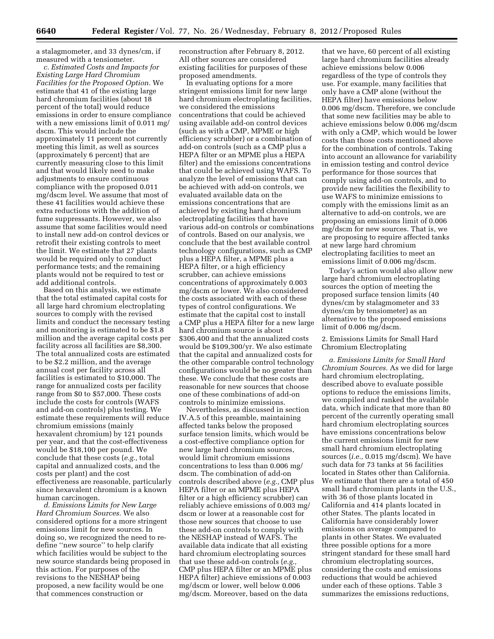a stalagmometer, and 33 dynes/cm, if measured with a tensiometer.

*c. Estimated Costs and Impacts for Existing Large Hard Chromium Facilities for the Proposed Option.* We estimate that 41 of the existing large hard chromium facilities (about 18 percent of the total) would reduce emissions in order to ensure compliance with a new emissions limit of 0.011 mg/ dscm. This would include the approximately 11 percent not currently meeting this limit, as well as sources (approximately 6 percent) that are currently measuring close to this limit and that would likely need to make adjustments to ensure continuous compliance with the proposed 0.011 mg/dscm level. We assume that most of these 41 facilities would achieve these extra reductions with the addition of fume suppressants. However, we also assume that some facilities would need to install new add-on control devices or retrofit their existing controls to meet the limit. We estimate that 27 plants would be required only to conduct performance tests; and the remaining plants would not be required to test or add additional controls.

Based on this analysis, we estimate that the total estimated capital costs for all large hard chromium electroplating sources to comply with the revised limits and conduct the necessary testing and monitoring is estimated to be \$1.8 million and the average capital costs per facility across all facilities are \$8,300. The total annualized costs are estimated to be \$2.2 million, and the average annual cost per facility across all facilities is estimated to \$10,000. The range for annualized costs per facility range from \$0 to \$57,000. These costs include the costs for controls (WAFS and add-on controls) plus testing. We estimate these requirements will reduce chromium emissions (mainly hexavalent chromium) by 121 pounds per year, and that the cost-effectiveness would be \$18,100 per pound. We conclude that these costs (*e.g.,* total capital and annualized costs, and the costs per plant) and the cost effectiveness are reasonable, particularly since hexavalent chromium is a known human carcinogen.

*d. Emissions Limits for New Large Hard Chromium Sources.* We also considered options for a more stringent emissions limit for new sources. In doing so, we recognized the need to redefine ''new source'' to help clarify which facilities would be subject to the new source standards being proposed in this action. For purposes of the revisions to the NESHAP being proposed, a new facility would be one that commences construction or

reconstruction after February 8, 2012. All other sources are considered existing facilities for purposes of these proposed amendments.

In evaluating options for a more stringent emissions limit for new large hard chromium electroplating facilities, we considered the emissions concentrations that could be achieved using available add-on control devices (such as with a CMP, MPME or high efficiency scrubber) or a combination of add-on controls (such as a CMP plus a HEPA filter or an MPME plus a HEPA filter) and the emissions concentrations that could be achieved using WAFS. To analyze the level of emissions that can be achieved with add-on controls, we evaluated available data on the emissions concentrations that are achieved by existing hard chromium electroplating facilities that have various add-on controls or combinations of controls. Based on our analysis, we conclude that the best available control technology configurations, such as CMP plus a HEPA filter, a MPME plus a HEPA filter, or a high efficiency scrubber, can achieve emissions concentrations of approximately 0.003 mg/dscm or lower. We also considered the costs associated with each of these types of control configurations. We estimate that the capital cost to install a CMP plus a HEPA filter for a new large hard chromium source is about \$306,400 and that the annualized costs would be \$109,300/yr. We also estimate that the capital and annualized costs for the other comparable control technology configurations would be no greater than these. We conclude that these costs are reasonable for new sources that choose one of these combinations of add-on controls to minimize emissions.

Nevertheless, as discussed in section IV.A.5 of this preamble, maintaining affected tanks below the proposed surface tension limits, which would be a cost-effective compliance option for new large hard chromium sources, would limit chromium emissions concentrations to less than 0.006 mg/ dscm. The combination of add-on controls described above (*e.g.,* CMP plus HEPA filter or an MPME plus HEPA filter or a high efficiency scrubber) can reliably achieve emissions of 0.003 mg/ dscm or lower at a reasonable cost for those new sources that choose to use these add-on controls to comply with the NESHAP instead of WAFS. The available data indicate that all existing hard chromium electroplating sources that use these add-on controls (*e.g.,*  CMP plus HEPA filter or an MPME plus HEPA filter) achieve emissions of 0.003 mg/dscm or lower, well below 0.006 mg/dscm. Moreover, based on the data

that we have, 60 percent of all existing large hard chromium facilities already achieve emissions below 0.006 regardless of the type of controls they use. For example, many facilities that only have a CMP alone (without the HEPA filter) have emissions below 0.006 mg/dscm. Therefore, we conclude that some new facilities may be able to achieve emissions below 0.006 mg/dscm with only a CMP, which would be lower costs than those costs mentioned above for the combination of controls. Taking into account an allowance for variability in emission testing and control device performance for those sources that comply using add-on controls, and to provide new facilities the flexibility to use WAFS to minimize emissions to comply with the emissions limit as an alternative to add-on controls, we are proposing an emissions limit of 0.006 mg/dscm for new sources. That is, we are proposing to require affected tanks at new large hard chromium electroplating facilities to meet an emissions limit of 0.006 mg/dscm.

Today's action would also allow new large hard chromium electroplating sources the option of meeting the proposed surface tension limits (40 dynes/cm by stalagmometer and 33 dynes/cm by tensiometer) as an alternative to the proposed emissions limit of 0.006 mg/dscm.

2. Emissions Limits for Small Hard Chromium Electroplating

*a. Emissions Limits for Small Hard Chromium Sources.* As we did for large hard chromium electroplating, described above to evaluate possible options to reduce the emissions limits, we compiled and ranked the available data, which indicate that more than 80 percent of the currently operating small hard chromium electroplating sources have emissions concentrations below the current emissions limit for new small hard chromium electroplating sources (*i.e.,* 0.015 mg/dscm). We have such data for 73 tanks at 56 facilities located in States other than California. We estimate that there are a total of 450 small hard chromium plants in the U.S., with 36 of those plants located in California and 414 plants located in other States. The plants located in California have considerably lower emissions on average compared to plants in other States. We evaluated three possible options for a more stringent standard for these small hard chromium electroplating sources, considering the costs and emissions reductions that would be achieved under each of these options. Table 3 summarizes the emissions reductions,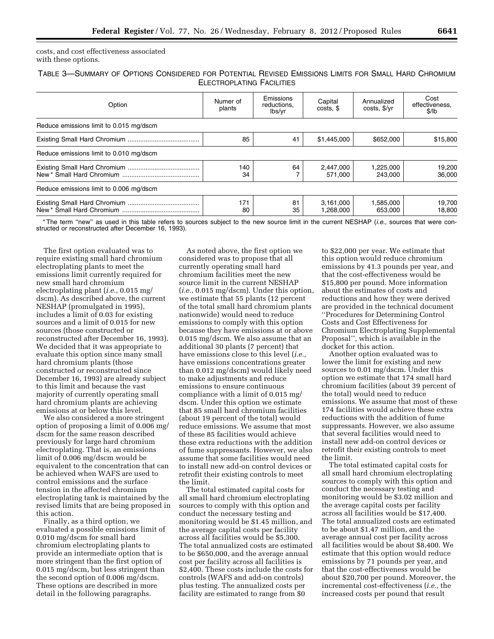costs, and cost effectiveness associated with these options.

TABLE 3—SUMMARY OF OPTIONS CONSIDERED FOR POTENTIAL REVISED EMISSIONS LIMITS FOR SMALL HARD CHROMIUM ELECTROPLATING FACILITIES

| Option                                  | Numer of<br>plants | Emissions<br>reductions.<br>lbs/yr | Capital<br>costs. \$   | Annualized<br>costs, \$/yr | Cost<br>effectiveness.<br>\$/lb |
|-----------------------------------------|--------------------|------------------------------------|------------------------|----------------------------|---------------------------------|
| Reduce emissions limit to 0.015 mg/dscm |                    |                                    |                        |                            |                                 |
|                                         | 85                 | 41                                 | \$1,445,000            | \$652,000                  | \$15,800                        |
| Reduce emissions limit to 0.010 mg/dscm |                    |                                    |                        |                            |                                 |
|                                         | 140<br>34          | 64                                 | 2,447,000<br>571.000   | 1,225,000<br>243.000       | 19,200<br>36,000                |
| Reduce emissions limit to 0.006 mg/dscm |                    |                                    |                        |                            |                                 |
|                                         | 171<br>80          | 81<br>35                           | 3.161.000<br>1.268.000 | 1,585,000<br>653.000       | 19,700<br>18.800                |

\* The term ''new'' as used in this table refers to sources subject to the new source limit in the current NESHAP (*i.e.,* sources that were constructed or reconstructed after December 16, 1993).

The first option evaluated was to require existing small hard chromium electroplating plants to meet the emissions limit currently required for new small hard chromium electroplating plant (*i.e.,* 0.015 mg/ dscm). As described above, the current NESHAP (promulgated in 1995), includes a limit of 0.03 for existing sources and a limit of 0.015 for new sources (those constructed or reconstructed after December 16, 1993). We decided that it was appropriate to evaluate this option since many small hard chromium plants (those constructed or reconstructed since December 16, 1993) are already subject to this limit and because the vast majority of currently operating small hard chromium plants are achieving emissions at or below this level.

We also considered a more stringent option of proposing a limit of 0.006 mg/ dscm for the same reason described previously for large hard chromium electroplating. That is, an emissions limit of 0.006 mg/dscm would be equivalent to the concentration that can be achieved when WAFS are used to control emissions and the surface tension in the affected chromium electroplating tank is maintained by the revised limits that are being proposed in this action.

Finally, as a third option, we evaluated a possible emissions limit of 0.010 mg/dscm for small hard chromium electroplating plants to provide an intermediate option that is more stringent than the first option of 0.015 mg/dscm, but less stringent than the second option of 0.006 mg/dscm. These options are described in more detail in the following paragraphs.

As noted above, the first option we considered was to propose that all currently operating small hard chromium facilities meet the new source limit in the current NESHAP (*i.e.,* 0.015 mg/dscm). Under this option, we estimate that 55 plants (12 percent of the total small hard chromium plants nationwide) would need to reduce emissions to comply with this option because they have emissions at or above 0.015 mg/dscm. We also assume that an additional 30 plants (7 percent) that have emissions close to this level (*i.e.,*  have emissions concentrations greater than 0.012 mg/dscm) would likely need to make adjustments and reduce emissions to ensure continuous compliance with a limit of 0.015 mg/ dscm. Under this option we estimate that 85 small hard chromium facilities (about 19 percent of the total) would reduce emissions. We assume that most of these 85 facilities would achieve these extra reductions with the addition of fume suppressants. However, we also assume that some facilities would need to install new add-on control devices or retrofit their existing controls to meet the limit.

The total estimated capital costs for all small hard chromium electroplating sources to comply with this option and conduct the necessary testing and monitoring would be \$1.45 million, and the average capital costs per facility across all facilities would be \$5,300. The total annualized costs are estimated to be \$650,000, and the average annual cost per facility across all facilities is \$2,400. These costs include the costs for controls (WAFS and add-on controls) plus testing. The annualized costs per facility are estimated to range from \$0

to \$22,000 per year. We estimate that this option would reduce chromium emissions by 41.3 pounds per year, and that the cost-effectiveness would be \$15,800 per pound. More information about the estimates of costs and reductions and how they were derived are provided in the technical document ''Procedures for Determining Control Costs and Cost Effectiveness for Chromium Electroplating Supplemental Proposal'', which is available in the docket for this action.

Another option evaluated was to lower the limit for existing and new sources to 0.01 mg/dscm. Under this option we estimate that 174 small hard chromium facilities (about 39 percent of the total) would need to reduce emissions. We assume that most of these 174 facilities would achieve these extra reductions with the addition of fume suppressants. However, we also assume that several facilities would need to install new add-on control devices or retrofit their existing controls to meet the limit.

The total estimated capital costs for all small hard chromium electroplating sources to comply with this option and conduct the necessary testing and monitoring would be \$3.02 million and the average capital costs per facility across all facilities would be \$17,400. The total annualized costs are estimated to be about \$1.47 million, and the average annual cost per facility across all facilities would be about \$8,400. We estimate that this option would reduce emissions by 71 pounds per year, and that the cost-effectiveness would be about \$20,700 per pound. Moreover, the incremental cost-effectiveness (*i.e.,* the increased costs per pound that result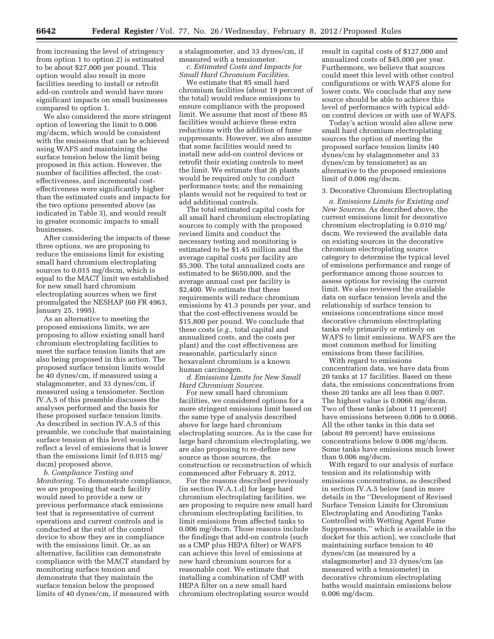from increasing the level of stringency from option 1 to option 2) is estimated to be about \$27,000 per pound. This option would also result in more facilities needing to install or retrofit add-on controls and would have more significant impacts on small businesses compared to option 1.

We also considered the more stringent option of lowering the limit to 0.006 mg/dscm, which would be consistent with the emissions that can be achieved using WAFS and maintaining the surface tension below the limit being proposed in this action. However, the number of facilities affected, the costeffectiveness, and incremental costeffectiveness were significantly higher than the estimated costs and impacts for the two options presented above (as indicated in Table 3), and would result in greater economic impacts to small businesses.

After considering the impacts of these three options, we are proposing to reduce the emissions limit for existing small hard chromium electroplating sources to 0.015 mg/dscm, which is equal to the MACT limit we established for new small hard chromium electroplating sources when we first promulgated the NESHAP (60 FR 4963, January 25, 1995).

As an alternative to meeting the proposed emissions limits, we are proposing to allow existing small hard chromium electroplating facilities to meet the surface tension limits that are also being proposed in this action. The proposed surface tension limits would be 40 dynes/cm, if measured using a stalagmometer, and 33 dynes/cm, if measured using a tensiometer. Section IV.A.5 of this preamble discusses the analyses performed and the basis for these proposed surface tension limits. As described in section IV.A.5 of this preamble, we conclude that maintaining surface tension at this level would reflect a level of emissions that is lower than the emissions limit (of 0.015 mg/ dscm) proposed above.

*b. Compliance Testing and Monitoring.* To demonstrate compliance, we are proposing that each facility would need to provide a new or previous performance stack emissions test that is representative of current operations and current controls and is conducted at the exit of the control device to show they are in compliance with the emissions limit. Or, as an alternative, facilities can demonstrate compliance with the MACT standard by monitoring surface tension and demonstrate that they maintain the surface tension below the proposed limits of 40 dynes/cm, if measured with

a stalagmometer, and 33 dynes/cm, if measured with a tensiometer.

*c. Estimated Costs and Impacts for Small Hard Chromium Facilities*.

We estimate that 85 small hard chromium facilities (about 19 percent of the total) would reduce emissions to ensure compliance with the proposed limit. We assume that most of these 85 facilities would achieve these extra reductions with the addition of fume suppressants. However, we also assume that some facilities would need to install new add-on control devices or retrofit their existing controls to meet the limit. We estimate that 26 plants would be required only to conduct performance tests; and the remaining plants would not be required to test or add additional controls.

The total estimated capital costs for all small hard chromium electroplating sources to comply with the proposed revised limits and conduct the necessary testing and monitoring is estimated to be \$1.45 million and the average capital costs per facility are \$5,300. The total annualized costs are estimated to be \$650,000, and the average annual cost per facility is \$2,400. We estimate that these requirements will reduce chromium emissions by 41.3 pounds per year, and that the cost-effectiveness would be \$15,800 per pound. We conclude that these costs (*e.g.,* total capital and annualized costs, and the costs per plant) and the cost effectiveness are reasonable, particularly since hexavalent chromium is a known human carcinogen.

*d. Emissions Limits for New Small Hard Chromium Sources*.

For new small hard chromium facilities, we considered options for a more stringent emissions limit based on the same type of analysis described above for large hard chromium electroplating sources. As is the case for large hard chromium electroplating, we are also proposing to re-define new source as those sources, the construction or reconstruction of which commenced after February 8, 2012.

For the reasons described previously (in section IV.A.1.d) for large hard chromium electroplating facilities, we are proposing to require new small hard chromium electroplating facilities, to limit emissions from affected tanks to 0.006 mg/dscm. Those reasons include the findings that add-on controls (such as a CMP plus HEPA filter) or WAFS can achieve this level of emissions at new hard chromium sources for a reasonable cost. We estimate that installing a combination of CMP with HEPA filter on a new small hard chromium electroplating source would

result in capital costs of \$127,000 and annualized costs of \$45,000 per year. Furthermore, we believe that sources could meet this level with other control configurations or with WAFS alone for lower costs. We conclude that any new source should be able to achieve this level of performance with typical addon control devices or with use of WAFS.

Today's action would also allow new small hard chromium electroplating sources the option of meeting the proposed surface tension limits (40 dynes/cm by stalagmometer and 33 dynes/cm by tensiometer) as an alternative to the proposed emissions limit of 0.006 mg/dscm.

#### 3. Decorative Chromium Electroplating

*a. Emissions Limits for Existing and New Sources.* As described above, the current emissions limit for decorative chromium electroplating is 0.010 mg/ dscm. We reviewed the available data on existing sources in the decorative chromium electroplating source category to determine the typical level of emissions performance and range of performance among those sources to assess options for revising the current limit. We also reviewed the available data on surface tension levels and the relationship of surface tension to emissions concentrations since most decorative chromium electroplating tanks rely primarily or entirely on WAFS to limit emissions. WAFS are the most common method for limiting emissions from these facilities.

With regard to emissions concentration data, we have data from 20 tanks at 17 facilities. Based on these data, the emissions concentrations from these 20 tanks are all less than 0.007. The highest value is 0.0066 mg/dscm. Two of these tanks (about 11 percent) have emissions between 0.006 to 0.0066. All the other tanks in this data set (about 89 percent) have emissions concentrations below 0.006 mg/dscm. Some tanks have emissions much lower than 0.006 mg/dscm.

With regard to our analysis of surface tension and its relationship with emissions concentrations, as described in section IV.A.5 below (and in more details in the ''Development of Revised Surface Tension Limits for Chromium Electroplating and Anodizing Tanks Controlled with Wetting Agent Fume Suppressants,'' which is available in the docket for this action), we conclude that maintaining surface tension to 40 dynes/cm (as measured by a stalagmometer) and 33 dynes/cm (as measured with a tensiometer) in decorative chromium electroplating baths would maintain emissions below 0.006 mg/dscm.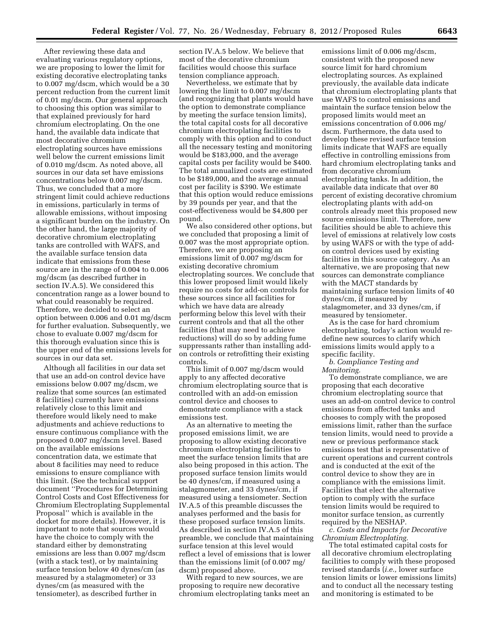After reviewing these data and evaluating various regulatory options, we are proposing to lower the limit for existing decorative electroplating tanks to 0.007 mg/dscm, which would be a 30 percent reduction from the current limit of 0.01 mg/dscm. Our general approach to choosing this option was similar to that explained previously for hard chromium electroplating. On the one hand, the available data indicate that most decorative chromium electroplating sources have emissions well below the current emissions limit of 0.010 mg/dscm. As noted above, all sources in our data set have emissions concentrations below 0.007 mg/dscm. Thus, we concluded that a more stringent limit could achieve reductions in emissions, particularly in terms of allowable emissions, without imposing a significant burden on the industry. On the other hand, the large majority of decorative chromium electroplating tanks are controlled with WAFS, and the available surface tension data indicate that emissions from these source are in the range of 0.004 to 0.006 mg/dscm (as described further in section IV.A.5). We considered this concentration range as a lower bound to what could reasonably be required. Therefore, we decided to select an option between 0.006 and 0.01 mg/dscm for further evaluation. Subsequently, we chose to evaluate 0.007 mg/dscm for this thorough evaluation since this is the upper end of the emissions levels for sources in our data set.

Although all facilities in our data set that use an add-on control device have emissions below 0.007 mg/dscm, we realize that some sources (an estimated 8 facilities) currently have emissions relatively close to this limit and therefore would likely need to make adjustments and achieve reductions to ensure continuous compliance with the proposed 0.007 mg/dscm level. Based on the available emissions concentration data, we estimate that about 8 facilities may need to reduce emissions to ensure compliance with this limit. (See the technical support document ''Procedures for Determining Control Costs and Cost Effectiveness for Chromium Electroplating Supplemental Proposal'' which is available in the docket for more details). However, it is important to note that sources would have the choice to comply with the standard either by demonstrating emissions are less than 0.007 mg/dscm (with a stack test), or by maintaining surface tension below 40 dynes/cm (as measured by a stalagmometer) or 33 dynes/cm (as measured with the tensiometer), as described further in

section IV.A.5 below. We believe that most of the decorative chromium facilities would choose this surface tension compliance approach.

Nevertheless, we estimate that by lowering the limit to 0.007 mg/dscm (and recognizing that plants would have the option to demonstrate compliance by meeting the surface tension limits), the total capital costs for all decorative chromium electroplating facilities to comply with this option and to conduct all the necessary testing and monitoring would be \$183,000, and the average capital costs per facility would be \$400. The total annualized costs are estimated to be \$189,000, and the average annual cost per facility is \$390. We estimate that this option would reduce emissions by 39 pounds per year, and that the cost-effectiveness would be \$4,800 per pound.

We also considered other options, but we concluded that proposing a limit of 0.007 was the most appropriate option. Therefore, we are proposing an emissions limit of 0.007 mg/dscm for existing decorative chromium electroplating sources. We conclude that this lower proposed limit would likely require no costs for add-on controls for these sources since all facilities for which we have data are already performing below this level with their current controls and that all the other facilities (that may need to achieve reductions) will do so by adding fume suppressants rather than installing addon controls or retrofitting their existing controls.

This limit of 0.007 mg/dscm would apply to any affected decorative chromium electroplating source that is controlled with an add-on emission control device and chooses to demonstrate compliance with a stack emissions test.

As an alternative to meeting the proposed emissions limit, we are proposing to allow existing decorative chromium electroplating facilities to meet the surface tension limits that are also being proposed in this action. The proposed surface tension limits would be 40 dynes/cm, if measured using a stalagmometer, and 33 dynes/cm, if measured using a tensiometer. Section IV.A.5 of this preamble discusses the analyses performed and the basis for these proposed surface tension limits. As described in section IV.A.5 of this preamble, we conclude that maintaining surface tension at this level would reflect a level of emissions that is lower than the emissions limit (of 0.007 mg/ dscm) proposed above.

With regard to new sources, we are proposing to require new decorative chromium electroplating tanks meet an

emissions limit of 0.006 mg/dscm, consistent with the proposed new source limit for hard chromium electroplating sources. As explained previously, the available data indicate that chromium electroplating plants that use WAFS to control emissions and maintain the surface tension below the proposed limits would meet an emissions concentration of 0.006 mg/ dscm. Furthermore, the data used to develop these revised surface tension limits indicate that WAFS are equally effective in controlling emissions from hard chromium electroplating tanks and from decorative chromium electroplating tanks. In addition, the available data indicate that over 80 percent of existing decorative chromium electroplating plants with add-on controls already meet this proposed new source emissions limit. Therefore, new facilities should be able to achieve this level of emissions at relatively low costs by using WAFS or with the type of addon control devices used by existing facilities in this source category. As an alternative, we are proposing that new sources can demonstrate compliance with the MACT standards by maintaining surface tension limits of 40 dynes/cm, if measured by stalagmometer, and 33 dynes/cm, if measured by tensiometer.

As is the case for hard chromium electroplating, today's action would redefine new sources to clarify which emissions limits would apply to a specific facility.

*b. Compliance Testing and Monitoring.* 

To demonstrate compliance, we are proposing that each decorative chromium electroplating source that uses an add-on control device to control emissions from affected tanks and chooses to comply with the proposed emissions limit, rather than the surface tension limits, would need to provide a new or previous performance stack emissions test that is representative of current operations and current controls and is conducted at the exit of the control device to show they are in compliance with the emissions limit. Facilities that elect the alternative option to comply with the surface tension limits would be required to monitor surface tension, as currently required by the NESHAP.

*c. Costs and Impacts for Decorative Chromium Electroplating.* 

The total estimated capital costs for all decorative chromium electroplating facilities to comply with these proposed revised standards (*i.e.,* lower surface tension limits or lower emissions limits) and to conduct all the necessary testing and monitoring is estimated to be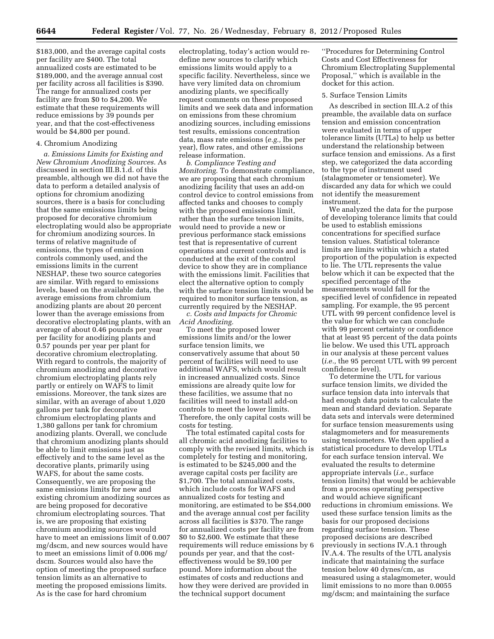\$183,000, and the average capital costs per facility are \$400. The total annualized costs are estimated to be \$189,000, and the average annual cost per facility across all facilities is \$390. The range for annualized costs per facility are from \$0 to \$4,200. We estimate that these requirements will reduce emissions by 39 pounds per year, and that the cost-effectiveness would be \$4,800 per pound.

#### 4. Chromium Anodizing

*a. Emissions Limits for Existing and New Chromium Anodizing Sources.* As discussed in section III.B.1.d. of this preamble, although we did not have the data to perform a detailed analysis of options for chromium anodizing sources, there is a basis for concluding that the same emissions limits being proposed for decorative chromium electroplating would also be appropriate for chromium anodizing sources. In terms of relative magnitude of emissions, the types of emission controls commonly used, and the emissions limits in the current NESHAP, these two source categories are similar. With regard to emissions levels, based on the available data, the average emissions from chromium anodizing plants are about 20 percent lower than the average emissions from decorative electroplating plants, with an average of about 0.46 pounds per year per facility for anodizing plants and 0.57 pounds per year per plant for decorative chromium electroplating. With regard to controls, the majority of chromium anodizing and decorative chromium electroplating plants rely partly or entirely on WAFS to limit emissions. Moreover, the tank sizes are similar, with an average of about 1,020 gallons per tank for decorative chromium electroplating plants and 1,380 gallons per tank for chromium anodizing plants. Overall, we conclude that chromium anodizing plants should be able to limit emissions just as effectively and to the same level as the decorative plants, primarily using WAFS, for about the same costs. Consequently, we are proposing the same emissions limits for new and existing chromium anodizing sources as are being proposed for decorative chromium electroplating sources. That is, we are proposing that existing chromium anodizing sources would have to meet an emissions limit of 0.007 mg/dscm, and new sources would have to meet an emissions limit of 0.006 mg/ dscm. Sources would also have the option of meeting the proposed surface tension limits as an alternative to meeting the proposed emissions limits. As is the case for hard chromium

electroplating, today's action would redefine new sources to clarify which emissions limits would apply to a specific facility. Nevertheless, since we have very limited data on chromium anodizing plants, we specifically request comments on these proposed limits and we seek data and information on emissions from these chromium anodizing sources, including emissions test results, emissions concentration data, mass rate emissions (*e.g.,* lbs per year), flow rates, and other emissions release information.

*b. Compliance Testing and Monitoring.* To demonstrate compliance, we are proposing that each chromium anodizing facility that uses an add-on control device to control emissions from affected tanks and chooses to comply with the proposed emissions limit, rather than the surface tension limits, would need to provide a new or previous performance stack emissions test that is representative of current operations and current controls and is conducted at the exit of the control device to show they are in compliance with the emissions limit. Facilities that elect the alternative option to comply with the surface tension limits would be required to monitor surface tension, as currently required by the NESHAP.

*c. Costs and Impacts for Chromic Acid Anodizing.* 

To meet the proposed lower emissions limits and/or the lower surface tension limits, we conservatively assume that about 50 percent of facilities will need to use additional WAFS, which would result in increased annualized costs. Since emissions are already quite low for these facilities, we assume that no facilities will need to install add-on controls to meet the lower limits. Therefore, the only capital costs will be costs for testing.

The total estimated capital costs for all chromic acid anodizing facilities to comply with the revised limits, which is completely for testing and monitoring, is estimated to be \$245,000 and the average capital costs per facility are \$1,700. The total annualized costs, which include costs for WAFS and annualized costs for testing and monitoring, are estimated to be \$54,000 and the average annual cost per facility across all facilities is \$370. The range for annualized costs per facility are from \$0 to \$2,600. We estimate that these requirements will reduce emissions by 6 pounds per year, and that the costeffectiveness would be \$9,100 per pound. More information about the estimates of costs and reductions and how they were derived are provided in the technical support document

''Procedures for Determining Control Costs and Cost Effectiveness for Chromium Electroplating Supplemental Proposal,'' which is available in the docket for this action.

#### 5. Surface Tension Limits

As described in section III.A.2 of this preamble, the available data on surface tension and emission concentration were evaluated in terms of upper tolerance limits (UTLs) to help us better understand the relationship between surface tension and emissions. As a first step, we categorized the data according to the type of instrument used (stalagmometer or tensiometer). We discarded any data for which we could not identify the measurement instrument.

We analyzed the data for the purpose of developing tolerance limits that could be used to establish emissions concentrations for specified surface tension values. Statistical tolerance limits are limits within which a stated proportion of the population is expected to lie. The UTL represents the value below which it can be expected that the specified percentage of the measurements would fall for the specified level of confidence in repeated sampling. For example, the 95 percent UTL with 99 percent confidence level is the value for which we can conclude with 99 percent certainty or confidence that at least 95 percent of the data points lie below. We used this UTL approach in our analysis at these percent values (*i.e.,* the 95 percent UTL with 99 percent confidence level).

To determine the UTL for various surface tension limits, we divided the surface tension data into intervals that had enough data points to calculate the mean and standard deviation. Separate data sets and intervals were determined for surface tension measurements using stalagmometers and for measurements using tensiometers. We then applied a statistical procedure to develop UTLs for each surface tension interval. We evaluated the results to determine appropriate intervals (*i.e.,* surface tension limits) that would be achievable from a process operating perspective and would achieve significant reductions in chromium emissions. We used these surface tension limits as the basis for our proposed decisions regarding surface tension. These proposed decisions are described previously in sections IV.A.1 through IV.A.4. The results of the UTL analysis indicate that maintaining the surface tension below 40 dynes/cm, as measured using a stalagmometer, would limit emissions to no more than 0.0055 mg/dscm; and maintaining the surface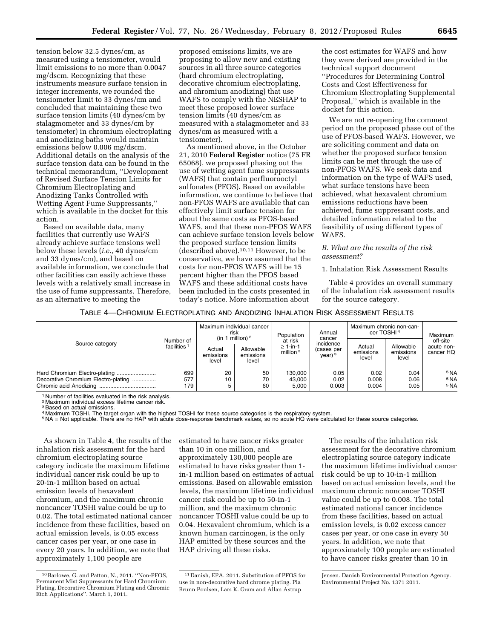tension below 32.5 dynes/cm, as measured using a tensiometer, would limit emissions to no more than 0.0047 mg/dscm. Recognizing that these instruments measure surface tension in integer increments, we rounded the tensiometer limit to 33 dynes/cm and concluded that maintaining these two surface tension limits (40 dynes/cm by stalagmometer and 33 dynes/cm by tensiometer) in chromium electroplating and anodizing baths would maintain emissions below 0.006 mg/dscm. Additional details on the analysis of the surface tension data can be found in the technical memorandum, ''Development of Revised Surface Tension Limits for Chromium Electroplating and Anodizing Tanks Controlled with Wetting Agent Fume Suppressants,'' which is available in the docket for this action.

Based on available data, many facilities that currently use WAFS already achieve surface tensions well below these levels (*i.e.,* 40 dynes/cm and 33 dynes/cm), and based on available information, we conclude that other facilities can easily achieve these levels with a relatively small increase in the use of fume suppressants. Therefore, as an alternative to meeting the

proposed emissions limits, we are proposing to allow new and existing sources in all three source categories (hard chromium electroplating, decorative chromium electroplating, and chromium anodizing) that use WAFS to comply with the NESHAP to meet these proposed lower surface tension limits (40 dynes/cm as measured with a stalagmometer and 33 dynes/cm as measured with a tensiometer).

As mentioned above, in the October 21, 2010 **Federal Register** notice (75 FR 65068), we proposed phasing out the use of wetting agent fume suppressants (WAFS) that contain perfluorooctyl sulfonates (PFOS). Based on available information, we continue to believe that non-PFOS WAFS are available that can effectively limit surface tension for about the same costs as PFOS-based WAFS, and that these non-PFOS WAFS can achieve surface tension levels below the proposed surface tension limits (described above).10,11 However, to be conservative, we have assumed that the costs for non-PFOS WAFS will be 15 percent higher than the PFOS based WAFS and these additional costs have been included in the costs presented in today's notice. More information about

the cost estimates for WAFS and how they were derived are provided in the technical support document ''Procedures for Determining Control Costs and Cost Effectiveness for Chromium Electroplating Supplemental Proposal,'' which is available in the docket for this action.

We are not re-opening the comment period on the proposed phase out of the use of PFOS-based WAFS. However, we are soliciting comment and data on whether the proposed surface tension limits can be met through the use of non-PFOS WAFS. We seek data and information on the type of WAFS used, what surface tensions have been achieved, what hexavalent chromium emissions reductions have been achieved, fume suppressant costs, and detailed information related to the feasibility of using different types of WAFS.

#### *B. What are the results of the risk assessment?*

1. Inhalation Risk Assessment Results

Table 4 provides an overall summary of the inhalation risk assessment results for the source category.

#### TABLE 4—CHROMIUM ELECTROPLATING AND ANODIZING INHALATION RISK ASSESSMENT RESULTS

| Source category                                                      | Number of<br>facilities <sup>1</sup> | Maximum individual cancer<br>risk<br>(in 1 million) $2$ |                                 | Population                               | Annual<br>cancer                                      | Maximum chronic non-can-<br>cer TOSHI <sup>4</sup> |                                 | Maximum                                               |
|----------------------------------------------------------------------|--------------------------------------|---------------------------------------------------------|---------------------------------|------------------------------------------|-------------------------------------------------------|----------------------------------------------------|---------------------------------|-------------------------------------------------------|
|                                                                      |                                      | Actual<br>emissions<br>level                            | Allowable<br>emissions<br>level | at risk<br>$\geq 1$ -in-1<br>million $3$ | incidence<br>(cases per<br>$\gamma$ ear) <sup>3</sup> | Actual<br>emissions<br>level                       | Allowable<br>emissions<br>level | off-site<br>acute non-<br>cancer HQ                   |
| Hard Chromium Electro-plating<br>Decorative Chromium Electro-plating | 699<br>577<br>179                    | 20<br>10<br>5                                           | 50<br>70<br>60                  | 130.000<br>43.000<br>5.000               | 0.05<br>0.02<br>0.003                                 | 0.02<br>0.008<br>0.004                             | 0.04<br>0.06<br>0.05            | <sup>5</sup> NA<br>5 <sub>NA</sub><br><sup>5</sup> NA |

<sup>1</sup> Number of facilities evaluated in the risk analysis.

2 Maximum individual excess lifetime cancer risk.

3Based on actual emissions.

4 Maximum TOSHI. The target organ with the highest TOSHI for these source categories is the respiratory system.

5 NA = Not applicable. There are no HAP with acute dose-response benchmark values, so no acute HQ were calculated for these source categories.

As shown in Table 4, the results of the inhalation risk assessment for the hard chromium electroplating source category indicate the maximum lifetime individual cancer risk could be up to 20-in-1 million based on actual emission levels of hexavalent chromium, and the maximum chronic noncancer TOSHI value could be up to 0.02. The total estimated national cancer incidence from these facilities, based on actual emission levels, is 0.05 excess cancer cases per year, or one case in every 20 years. In addition, we note that approximately 1,100 people are

estimated to have cancer risks greater than 10 in one million, and approximately 130,000 people are estimated to have risks greater than 1 in-1 million based on estimates of actual emissions. Based on allowable emission levels, the maximum lifetime individual cancer risk could be up to 50-in-1 million, and the maximum chronic noncancer TOSHI value could be up to 0.04. Hexavalent chromium, which is a known human carcinogen, is the only HAP emitted by these sources and the HAP driving all these risks.

The results of the inhalation risk assessment for the decorative chromium electroplating source category indicate the maximum lifetime individual cancer risk could be up to 10-in-1 million based on actual emission levels, and the maximum chronic noncancer TOSHI value could be up to 0.008. The total estimated national cancer incidence from these facilities, based on actual emission levels, is 0.02 excess cancer cases per year, or one case in every 50 years. In addition, we note that approximately 100 people are estimated to have cancer risks greater than 10 in

<sup>10</sup>Barlowe, G. and Patton, N., 2011. ''Non-PFOS, Permanent Mist Suppressants for Hard Chromium Plating, Decorative Chromium Plating and Chromic Etch Applications''. March 1, 2011.

<sup>11</sup> Danish, EPA. 2011. Substitution of PFOS for use in non-decorative hard chrome plating. Pia Brunn Poulsen, Lars K. Gram and Allan Astrup

Jensen. Danish Environmental Protection Agency. Environmental Project No. 1371 2011.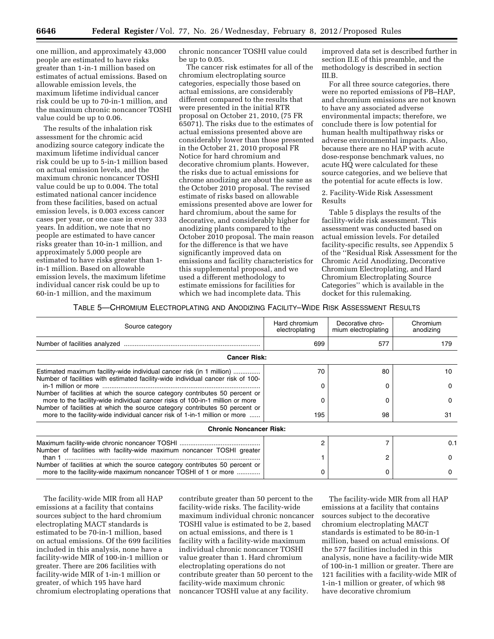one million, and approximately 43,000 people are estimated to have risks greater than 1-in-1 million based on estimates of actual emissions. Based on allowable emission levels, the maximum lifetime individual cancer risk could be up to 70-in-1 million, and the maximum chronic noncancer TOSHI value could be up to 0.06.

The results of the inhalation risk assessment for the chromic acid anodizing source category indicate the maximum lifetime individual cancer risk could be up to 5-in-1 million based on actual emission levels, and the maximum chronic noncancer TOSHI value could be up to 0.004. The total estimated national cancer incidence from these facilities, based on actual emission levels, is 0.003 excess cancer cases per year, or one case in every 333 years. In addition, we note that no people are estimated to have cancer risks greater than 10-in-1 million, and approximately 5,000 people are estimated to have risks greater than 1 in-1 million. Based on allowable emission levels, the maximum lifetime individual cancer risk could be up to 60-in-1 million, and the maximum

chronic noncancer TOSHI value could be up to 0.05.

The cancer risk estimates for all of the chromium electroplating source categories, especially those based on actual emissions, are considerably different compared to the results that were presented in the initial RTR proposal on October 21, 2010, (75 FR 65071). The risks due to the estimates of actual emissions presented above are considerably lower than those presented in the October 21, 2010 proposal FR Notice for hard chromium and decorative chromium plants. However, the risks due to actual emissions for chrome anodizing are about the same as the October 2010 proposal. The revised estimate of risks based on allowable emissions presented above are lower for hard chromium, about the same for decorative, and considerably higher for anodizing plants compared to the October 2010 proposal. The main reason for the difference is that we have significantly improved data on emissions and facility characteristics for this supplemental proposal, and we used a different methodology to estimate emissions for facilities for which we had incomplete data. This

improved data set is described further in section II.E of this preamble, and the methodology is described in section III.B.

For all three source categories, there were no reported emissions of PB–HAP, and chromium emissions are not known to have any associated adverse environmental impacts; therefore, we conclude there is low potential for human health multipathway risks or adverse environmental impacts. Also, because there are no HAP with acute dose-response benchmark values, no acute HQ were calculated for these source categories, and we believe that the potential for acute effects is low.

#### 2. Facility-Wide Risk Assessment Results

Table 5 displays the results of the facility-wide risk assessment. This assessment was conducted based on actual emission levels. For detailed facility-specific results, see Appendix 5 of the ''Residual Risk Assessment for the Chromic Acid Anodizing, Decorative Chromium Electroplating, and Hard Chromium Electroplating Source Categories'' which is available in the docket for this rulemaking.

# TABLE 5—CHROMIUM ELECTROPLATING AND ANODIZING FACILITY–WIDE RISK ASSESSMENT RESULTS

| Source category                                                                                                                                                                                                                             | Hard chromium<br>electroplating | Decorative chro-<br>mium electroplating | Chromium<br>anodizing<br>179 |  |
|---------------------------------------------------------------------------------------------------------------------------------------------------------------------------------------------------------------------------------------------|---------------------------------|-----------------------------------------|------------------------------|--|
|                                                                                                                                                                                                                                             | 699                             | 577                                     |                              |  |
| <b>Cancer Risk:</b>                                                                                                                                                                                                                         |                                 |                                         |                              |  |
| Estimated maximum facility-wide individual cancer risk (in 1 million)<br>Number of facilities with estimated facility-wide individual cancer risk of 100-                                                                                   | 70                              | 80                                      | 10                           |  |
| Number of facilities at which the source category contributes 50 percent or<br>more to the facility-wide individual cancer risks of 100-in-1 million or more<br>Number of facilities at which the source category contributes 50 percent or |                                 | 0<br>0                                  | O<br>O                       |  |
| more to the facility-wide individual cancer risk of 1-in-1 million or more                                                                                                                                                                  | 195                             | 98                                      | 31                           |  |
| <b>Chronic Noncancer Risk:</b>                                                                                                                                                                                                              |                                 |                                         |                              |  |
| Number of facilities with facility-wide maximum noncancer TOSHI greater                                                                                                                                                                     | 2                               |                                         | 0.1                          |  |
|                                                                                                                                                                                                                                             |                                 | 2                                       | <sup>0</sup>                 |  |
| Number of facilities at which the source category contributes 50 percent or<br>more to the facility-wide maximum noncancer TOSHI of 1 or more                                                                                               |                                 | 0                                       |                              |  |

The facility-wide MIR from all HAP emissions at a facility that contains sources subject to the hard chromium electroplating MACT standards is estimated to be 70-in-1 million, based on actual emissions. Of the 699 facilities included in this analysis, none have a facility-wide MIR of 100-in-1 million or greater. There are 206 facilities with facility-wide MIR of 1-in-1 million or greater, of which 195 have hard chromium electroplating operations that

contribute greater than 50 percent to the facility-wide risks. The facility-wide maximum individual chronic noncancer TOSHI value is estimated to be 2, based on actual emissions, and there is 1 facility with a facility-wide maximum individual chronic noncancer TOSHI value greater than 1. Hard chromium electroplating operations do not contribute greater than 50 percent to the facility-wide maximum chronic noncancer TOSHI value at any facility.

The facility-wide MIR from all HAP emissions at a facility that contains sources subject to the decorative chromium electroplating MACT standards is estimated to be 80-in-1 million, based on actual emissions. Of the 577 facilities included in this analysis, none have a facility-wide MIR of 100-in-1 million or greater. There are 121 facilities with a facility-wide MIR of 1-in-1 million or greater, of which 98 have decorative chromium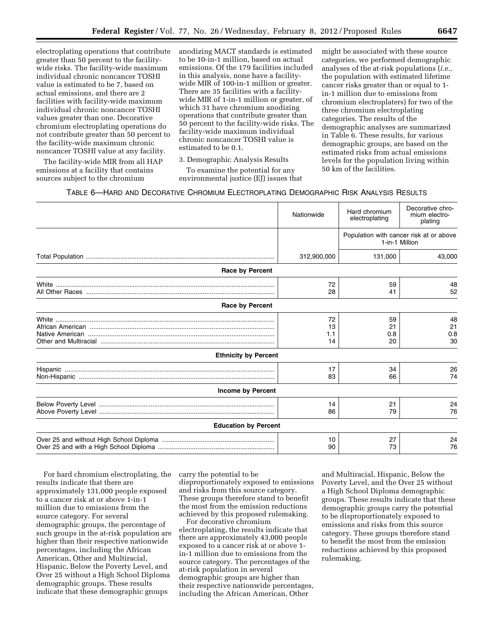electroplating operations that contribute greater than 50 percent to the facilitywide risks. The facility-wide maximum individual chronic noncancer TOSHI value is estimated to be 7, based on actual emissions, and there are 2 facilities with facility-wide maximum individual chronic noncancer TOSHI values greater than one. Decorative chromium electroplating operations do not contribute greater than 50 percent to the facility-wide maximum chronic noncancer TOSHI value at any facility.

The facility-wide MIR from all HAP emissions at a facility that contains sources subject to the chromium

anodizing MACT standards is estimated to be 10-in-1 million, based on actual emissions. Of the 179 facilities included in this analysis, none have a facilitywide MIR of 100-in-1 million or greater. There are 35 facilities with a facilitywide MIR of 1-in-1 million or greater, of which 31 have chromium anodizing operations that contribute greater than 50 percent to the facility-wide risks. The facility-wide maximum individual chronic noncancer TOSHI value is estimated to be 0.1.

3. Demographic Analysis Results

To examine the potential for any environmental justice (EJ) issues that might be associated with these source categories, we performed demographic analyses of the at-risk populations (*i.e.,*  the population with estimated lifetime cancer risks greater than or equal to 1 in-1 million due to emissions from chromium electroplaters) for two of the three chromium electroplating categories. The results of the demographic analyses are summarized in Table 6. These results, for various demographic groups, are based on the estimated risks from actual emissions levels for the population living within 50 km of the facilities.

# TABLE 6—HARD AND DECORATIVE CHROMIUM ELECTROPLATING DEMOGRAPHIC RISK ANALYSIS RESULTS

|                             | Nationwide            | Hard chromium<br>electroplating                           | Decorative chro-<br>mium electro-<br>plating |
|-----------------------------|-----------------------|-----------------------------------------------------------|----------------------------------------------|
|                             |                       | Population with cancer risk at or above<br>1-in-1 Million |                                              |
|                             | 312,900,000           | 131,000                                                   | 43,000                                       |
| <b>Race by Percent</b>      |                       |                                                           |                                              |
|                             | 72<br>28              | 59<br>41                                                  | 48<br>52                                     |
| <b>Race by Percent</b>      |                       |                                                           |                                              |
|                             | 72<br>13<br>1.1<br>14 | 59<br>21<br>0.8<br>20                                     | 48<br>21<br>0.8<br>30                        |
| <b>Ethnicity by Percent</b> |                       |                                                           |                                              |
|                             | 17<br>83              | 34<br>66                                                  | 26<br>74                                     |
| <b>Income by Percent</b>    |                       |                                                           |                                              |
|                             | 14<br>86              | 21<br>79                                                  | 24<br>76                                     |
| <b>Education by Percent</b> |                       |                                                           |                                              |
|                             | 10<br>90              | 27<br>73                                                  | 24<br>76                                     |

For hard chromium electroplating, the results indicate that there are approximately 131,000 people exposed to a cancer risk at or above 1-in-1 million due to emissions from the source category. For several demographic groups, the percentage of such groups in the at-risk population are higher than their respective nationwide percentages, including the African American, Other and Multiracial, Hispanic, Below the Poverty Level, and Over 25 without a High School Diploma demographic groups. These results indicate that these demographic groups

carry the potential to be disproportionately exposed to emissions and risks from this source category. These groups therefore stand to benefit the most from the emission reductions achieved by this proposed rulemaking.

For decorative chromium electroplating, the results indicate that there are approximately 43,000 people exposed to a cancer risk at or above 1 in-1 million due to emissions from the source category. The percentages of the at-risk population in several demographic groups are higher than their respective nationwide percentages, including the African American, Other

and Multiracial, Hispanic, Below the Poverty Level, and the Over 25 without a High School Diploma demographic groups. These results indicate that these demographic groups carry the potential to be disproportionately exposed to emissions and risks from this source category. These groups therefore stand to benefit the most from the emission reductions achieved by this proposed rulemaking.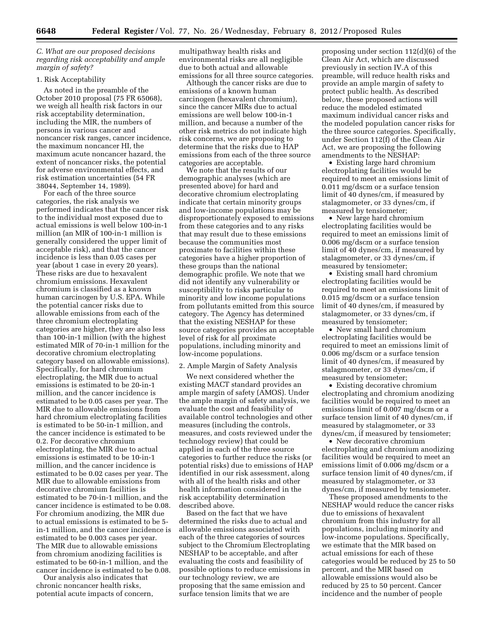*C. What are our proposed decisions regarding risk acceptability and ample margin of safety?* 

#### 1. Risk Acceptability

As noted in the preamble of the October 2010 proposal (75 FR 65068), we weigh all health risk factors in our risk acceptability determination, including the MIR, the numbers of persons in various cancer and noncancer risk ranges, cancer incidence, the maximum noncancer HI, the maximum acute noncancer hazard, the extent of noncancer risks, the potential for adverse environmental effects, and risk estimation uncertainties (54 FR 38044, September 14, 1989).

For each of the three source categories, the risk analysis we performed indicates that the cancer risk to the individual most exposed due to actual emissions is well below 100-in-1 million (an MIR of 100-in-1 million is generally considered the upper limit of acceptable risk), and that the cancer incidence is less than 0.05 cases per year (about 1 case in every 20 years). These risks are due to hexavalent chromium emissions. Hexavalent chromium is classified as a known human carcinogen by U.S. EPA. While the potential cancer risks due to allowable emissions from each of the three chromium electroplating categories are higher, they are also less than 100-in-1 million (with the highest estimated MIR of 70-in-1 million for the decorative chromium electroplating category based on allowable emissions). Specifically, for hard chromium electroplating, the MIR due to actual emissions is estimated to be 20-in-1 million, and the cancer incidence is estimated to be 0.05 cases per year. The MIR due to allowable emissions from hard chromium electroplating facilities is estimated to be 50-in-1 million, and the cancer incidence is estimated to be 0.2. For decorative chromium electroplating, the MIR due to actual emissions is estimated to be 10-in-1 million, and the cancer incidence is estimated to be 0.02 cases per year. The MIR due to allowable emissions from decorative chromium facilities is estimated to be 70-in-1 million, and the cancer incidence is estimated to be 0.08. For chromium anodizing, the MIR due to actual emissions is estimated to be 5 in-1 million, and the cancer incidence is estimated to be 0.003 cases per year. The MIR due to allowable emissions from chromium anodizing facilities is estimated to be 60-in-1 million, and the cancer incidence is estimated to be 0.08.

Our analysis also indicates that chronic noncancer health risks, potential acute impacts of concern, multipathway health risks and environmental risks are all negligible due to both actual and allowable emissions for all three source categories.

Although the cancer risks are due to emissions of a known human carcinogen (hexavalent chromium), since the cancer MIRs due to actual emissions are well below 100-in-1 million, and because a number of the other risk metrics do not indicate high risk concerns, we are proposing to determine that the risks due to HAP emissions from each of the three source categories are acceptable.

We note that the results of our demographic analyses (which are presented above) for hard and decorative chromium electroplating indicate that certain minority groups and low-income populations may be disproportionately exposed to emissions from these categories and to any risks that may result due to these emissions because the communities most proximate to facilities within these categories have a higher proportion of these groups than the national demographic profile. We note that we did not identify any vulnerability or susceptibility to risks particular to minority and low income populations from pollutants emitted from this source category. The Agency has determined that the existing NESHAP for these source categories provides an acceptable level of risk for all proximate populations, including minority and low-income populations.

#### 2. Ample Margin of Safety Analysis

We next considered whether the existing MACT standard provides an ample margin of safety (AMOS). Under the ample margin of safety analysis, we evaluate the cost and feasibility of available control technologies and other measures (including the controls, measures, and costs reviewed under the technology review) that could be applied in each of the three source categories to further reduce the risks (or potential risks) due to emissions of HAP identified in our risk assessment, along with all of the health risks and other health information considered in the risk acceptability determination described above.

Based on the fact that we have determined the risks due to actual and allowable emissions associated with each of the three categories of sources subject to the Chromium Electroplating NESHAP to be acceptable, and after evaluating the costs and feasibility of possible options to reduce emissions in our technology review, we are proposing that the same emission and surface tension limits that we are

proposing under section 112(d)(6) of the Clean Air Act, which are discussed previously in section IV.A of this preamble, will reduce health risks and provide an ample margin of safety to protect public health. As described below, these proposed actions will reduce the modeled estimated maximum individual cancer risks and the modeled population cancer risks for the three source categories. Specifically, under Section 112(f) of the Clean Air Act, we are proposing the following amendments to the NESHAP:

• Existing large hard chromium electroplating facilities would be required to meet an emissions limit of 0.011 mg/dscm or a surface tension limit of 40 dynes/cm, if measured by stalagmometer, or 33 dynes/cm, if measured by tensiometer;

• New large hard chromium electroplating facilities would be required to meet an emissions limit of 0.006 mg/dscm or a surface tension limit of 40 dynes/cm, if measured by stalagmometer, or 33 dynes/cm, if measured by tensiometer;

• Existing small hard chromium electroplating facilities would be required to meet an emissions limit of 0.015 mg/dscm or a surface tension limit of 40 dynes/cm, if measured by stalagmometer, or 33 dynes/cm, if measured by tensiometer;

• New small hard chromium electroplating facilities would be required to meet an emissions limit of 0.006 mg/dscm or a surface tension limit of 40 dynes/cm, if measured by stalagmometer, or 33 dynes/cm, if measured by tensiometer;

• Existing decorative chromium electroplating and chromium anodizing facilities would be required to meet an emissions limit of 0.007 mg/dscm or a surface tension limit of 40 dynes/cm, if measured by stalagmometer, or 33 dynes/cm, if measured by tensiometer;

• New decorative chromium electroplating and chromium anodizing facilities would be required to meet an emissions limit of 0.006 mg/dscm or a surface tension limit of 40 dynes/cm, if measured by stalagmometer, or 33 dynes/cm, if measured by tensiometer.

These proposed amendments to the NESHAP would reduce the cancer risks due to emissions of hexavalent chromium from this industry for all populations, including minority and low-income populations. Specifically, we estimate that the MIR based on actual emissions for each of these categories would be reduced by 25 to 50 percent, and the MIR based on allowable emissions would also be reduced by 25 to 50 percent. Cancer incidence and the number of people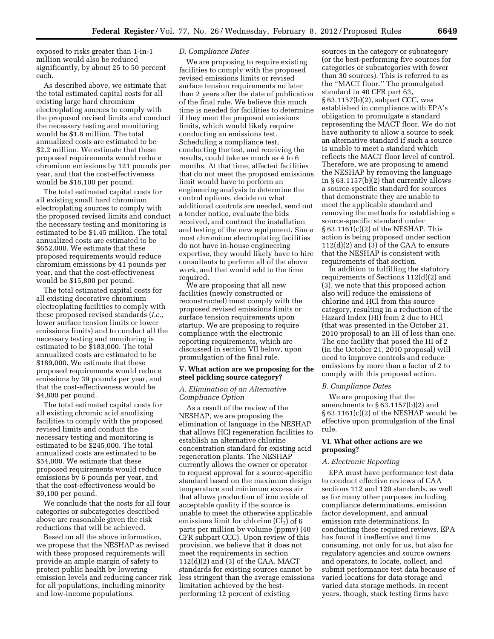exposed to risks greater than 1-in-1 million would also be reduced significantly, by about 25 to 50 percent each.

As described above, we estimate that the total estimated capital costs for all existing large hard chromium electroplating sources to comply with the proposed revised limits and conduct the necessary testing and monitoring would be \$1.8 million. The total annualized costs are estimated to be \$2.2 million. We estimate that these proposed requirements would reduce chromium emissions by 121 pounds per year, and that the cost-effectiveness would be \$18,100 per pound.

The total estimated capital costs for all existing small hard chromium electroplating sources to comply with the proposed revised limits and conduct the necessary testing and monitoring is estimated to be \$1.45 million. The total annualized costs are estimated to be \$652,000. We estimate that these proposed requirements would reduce chromium emissions by 41 pounds per year, and that the cost-effectiveness would be \$15,800 per pound.

The total estimated capital costs for all existing decorative chromium electroplating facilities to comply with these proposed revised standards (*i.e.,*  lower surface tension limits or lower emissions limits) and to conduct all the necessary testing and monitoring is estimated to be \$183,000. The total annualized costs are estimated to be \$189,000. We estimate that these proposed requirements would reduce emissions by 39 pounds per year, and that the cost-effectiveness would be \$4,800 per pound.

The total estimated capital costs for all existing chromic acid anodizing facilities to comply with the proposed revised limits and conduct the necessary testing and monitoring is estimated to be \$245,000. The total annualized costs are estimated to be \$54,000. We estimate that these proposed requirements would reduce emissions by 6 pounds per year, and that the cost-effectiveness would be \$9,100 per pound.

We conclude that the costs for all four categories or subcategories described above are reasonable given the risk reductions that will be achieved.

Based on all the above information, we propose that the NESHAP as revised with these proposed requirements will provide an ample margin of safety to protect public health by lowering emission levels and reducing cancer risk for all populations, including minority and low-income populations.

#### *D. Compliance Dates*

We are proposing to require existing facilities to comply with the proposed revised emissions limits or revised surface tension requirements no later than 2 years after the date of publication of the final rule. We believe this much time is needed for facilities to determine if they meet the proposed emissions limits, which would likely require conducting an emissions test. Scheduling a compliance test, conducting the test, and receiving the results, could take as much as 4 to 6 months. At that time, affected facilities that do not meet the proposed emissions limit would have to perform an engineering analysis to determine the control options, decide on what additional controls are needed, send out a tender notice, evaluate the bids received, and contract the installation and testing of the new equipment. Since most chromium electroplating facilities do not have in-house engineering expertise, they would likely have to hire consultants to perform all of the above work, and that would add to the time required.

We are proposing that all new facilities (newly constructed or reconstructed) must comply with the proposed revised emissions limits or surface tension requirements upon startup. We are proposing to require compliance with the electronic reporting requirements, which are discussed in section VII below, upon promulgation of the final rule.

#### **V. What action are we proposing for the steel pickling source category?**

#### *A. Elimination of an Alternative Compliance Option*

As a result of the review of the NESHAP, we are proposing the elimination of language in the NESHAP that allows HCl regeneration facilities to establish an alternative chlorine concentration standard for existing acid regeneration plants. The NESHAP currently allows the owner or operator to request approval for a source-specific standard based on the maximum design temperature and minimum excess air that allows production of iron oxide of acceptable quality if the source is unable to meet the otherwise applicable emissions limit for chlorine  $(Cl<sub>2</sub>)$  of 6 parts per million by volume (ppmv) (40 CFR subpart CCC). Upon review of this provision, we believe that it does not meet the requirements in section 112(d)(2) and (3) of the CAA. MACT standards for existing sources cannot be less stringent than the average emissions limitation achieved by the bestperforming 12 percent of existing

sources in the category or subcategory (or the best-performing five sources for categories or subcategories with fewer than 30 sources). This is referred to as the ''MACT floor.'' The promulgated standard in 40 CFR part 63, § 63.1157(b)(2), subpart CCC, was established in compliance with EPA's obligation to promulgate a standard representing the MACT floor. We do not have authority to allow a source to seek an alternative standard if such a source is unable to meet a standard which reflects the MACT floor level of control. Therefore, we are proposing to amend the NESHAP by removing the language in  $§ 63.1157(b)(2)$  that currently allows a source-specific standard for sources that demonstrate they are unable to meet the applicable standard and removing the methods for establishing a source-specific standard under § 63.1161(c)(2) of the NESHAP. This action is being proposed under section  $112(d)(2)$  and  $(3)$  of the CAA to ensure that the NESHAP is consistent with requirements of that section.

In addition to fulfilling the statutory requirements of Sections 112(d)(2) and (3), we note that this proposed action also will reduce the emissions of chlorine and HCl from this source category, resulting in a reduction of the Hazard Index (HI) from 2 due to HCl (that was presented in the October 21, 2010 proposal) to an HI of less than one. The one facility that posed the HI of 2 (in the October 21, 2010 proposal) will need to improve controls and reduce emissions by more than a factor of 2 to comply with this proposed action.

#### *B. Compliance Dates*

We are proposing that the amendments to § 63.1157(b)(2) and § 63.1161(c)(2) of the NESHAP would be effective upon promulgation of the final rule.

#### **VI. What other actions are we proposing?**

#### *A. Electronic Reporting*

EPA must have performance test data to conduct effective reviews of CAA sections 112 and 129 standards, as well as for many other purposes including compliance determinations, emission factor development, and annual emission rate determinations. In conducting these required reviews, EPA has found it ineffective and time consuming, not only for us, but also for regulatory agencies and source owners and operators, to locate, collect, and submit performance test data because of varied locations for data storage and varied data storage methods. In recent years, though, stack testing firms have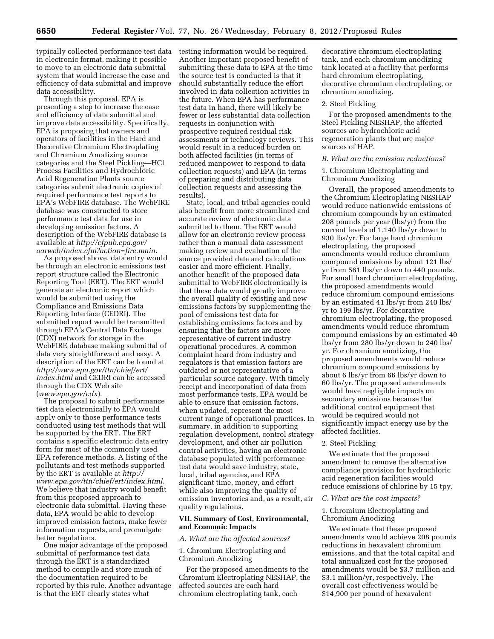typically collected performance test data in electronic format, making it possible to move to an electronic data submittal system that would increase the ease and efficiency of data submittal and improve data accessibility.

Through this proposal, EPA is presenting a step to increase the ease and efficiency of data submittal and improve data accessibility. Specifically, EPA is proposing that owners and operators of facilities in the Hard and Decorative Chromium Electroplating and Chromium Anodizing source categories and the Steel Pickling—HCl Process Facilities and Hydrochloric Acid Regeneration Plants source categories submit electronic copies of required performance test reports to EPA's WebFIRE database. The WebFIRE database was constructed to store performance test data for use in developing emission factors. A description of the WebFIRE database is available at *[http://cfpub.epa.gov/](http://cfpub.epa.gov/oarweb/index.cfm?action=fire.main) [oarweb/index.cfm?action=fire.main.](http://cfpub.epa.gov/oarweb/index.cfm?action=fire.main)* 

As proposed above, data entry would be through an electronic emissions test report structure called the Electronic Reporting Tool (ERT). The ERT would generate an electronic report which would be submitted using the Compliance and Emissions Data Reporting Interface (CEDRI). The submitted report would be transmitted through EPA's Central Data Exchange (CDX) network for storage in the WebFIRE database making submittal of data very straightforward and easy. A description of the ERT can be found at *[http://www.epa.gov/ttn/chief/ert/](http://www.epa.gov/ttn/chief/ert/index.html)  [index.html](http://www.epa.gov/ttn/chief/ert/index.html)* and CEDRI can be accessed through the CDX Web site (*[www.epa.gov/cdx](http://www.epa.gov/cdx)*).

The proposal to submit performance test data electronically to EPA would apply only to those performance tests conducted using test methods that will be supported by the ERT. The ERT contains a specific electronic data entry form for most of the commonly used EPA reference methods. A listing of the pollutants and test methods supported by the ERT is available at *[http://](http://www.epa.gov/ttn/chief/ert/index.html) [www.epa.gov/ttn/chief/ert/index.html.](http://www.epa.gov/ttn/chief/ert/index.html)*  We believe that industry would benefit from this proposed approach to electronic data submittal. Having these data, EPA would be able to develop improved emission factors, make fewer information requests, and promulgate better regulations.

One major advantage of the proposed submittal of performance test data through the ERT is a standardized method to compile and store much of the documentation required to be reported by this rule. Another advantage is that the ERT clearly states what

testing information would be required. Another important proposed benefit of submitting these data to EPA at the time the source test is conducted is that it should substantially reduce the effort involved in data collection activities in the future. When EPA has performance test data in hand, there will likely be fewer or less substantial data collection requests in conjunction with prospective required residual risk assessments or technology reviews. This would result in a reduced burden on both affected facilities (in terms of reduced manpower to respond to data collection requests) and EPA (in terms of preparing and distributing data collection requests and assessing the results).

State, local, and tribal agencies could also benefit from more streamlined and accurate review of electronic data submitted to them. The ERT would allow for an electronic review process rather than a manual data assessment making review and evaluation of the source provided data and calculations easier and more efficient. Finally, another benefit of the proposed data submittal to WebFIRE electronically is that these data would greatly improve the overall quality of existing and new emissions factors by supplementing the pool of emissions test data for establishing emissions factors and by ensuring that the factors are more representative of current industry operational procedures. A common complaint heard from industry and regulators is that emission factors are outdated or not representative of a particular source category. With timely receipt and incorporation of data from most performance tests, EPA would be able to ensure that emission factors, when updated, represent the most current range of operational practices. In summary, in addition to supporting regulation development, control strategy development, and other air pollution control activities, having an electronic database populated with performance test data would save industry, state, local, tribal agencies, and EPA significant time, money, and effort while also improving the quality of emission inventories and, as a result, air quality regulations.

# **VII. Summary of Cost, Environmental, and Economic Impacts**

#### *A. What are the affected sources?*

1. Chromium Electroplating and Chromium Anodizing

For the proposed amendments to the Chromium Electroplating NESHAP, the affected sources are each hard chromium electroplating tank, each

decorative chromium electroplating tank, and each chromium anodizing tank located at a facility that performs hard chromium electroplating, decorative chromium electroplating, or chromium anodizing.

#### 2. Steel Pickling

For the proposed amendments to the Steel Pickling NESHAP, the affected sources are hydrochloric acid regeneration plants that are major sources of HAP.

# *B. What are the emission reductions?*

# 1. Chromium Electroplating and Chromium Anodizing

Overall, the proposed amendments to the Chromium Electroplating NESHAP would reduce nationwide emissions of chromium compounds by an estimated 208 pounds per year (lbs/yr) from the current levels of 1,140 lbs/yr down to 930 lbs/yr. For large hard chromium electroplating, the proposed amendments would reduce chromium compound emissions by about 121 lbs/ yr from 561 lbs/yr down to 440 pounds. For small hard chromium electroplating, the proposed amendments would reduce chromium compound emissions by an estimated 41 lbs/yr from 240 lbs/ yr to 199 lbs/yr. For decorative chromium electroplating, the proposed amendments would reduce chromium compound emissions by an estimated 40 lbs/yr from 280 lbs/yr down to 240 lbs/ yr. For chromium anodizing, the proposed amendments would reduce chromium compound emissions by about 6 lbs/yr from 66 lbs/yr down to 60 lbs/yr. The proposed amendments would have negligible impacts on secondary emissions because the additional control equipment that would be required would not significantly impact energy use by the affected facilities.

#### 2. Steel Pickling

We estimate that the proposed amendment to remove the alternative compliance provision for hydrochloric acid regeneration facilities would reduce emissions of chlorine by 15 tpy.

#### *C. What are the cost impacts?*

1. Chromium Electroplating and Chromium Anodizing

We estimate that these proposed amendments would achieve 208 pounds reductions in hexavalent chromium emissions, and that the total capital and total annualized cost for the proposed amendments would be \$3.7 million and \$3.1 million/yr, respectively. The overall cost effectiveness would be \$14,900 per pound of hexavalent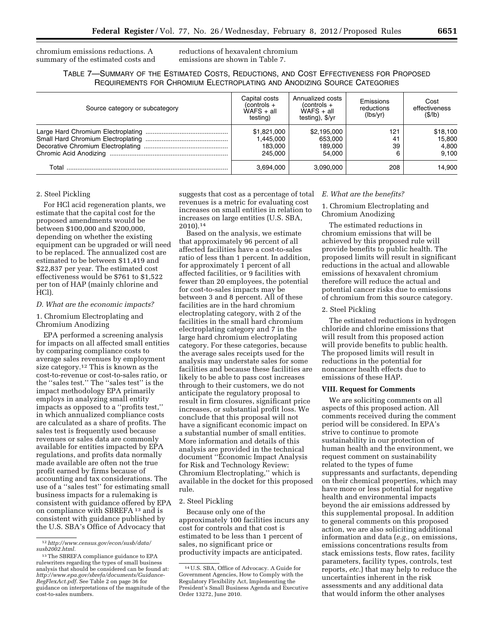chromium emissions reductions. A summary of the estimated costs and reductions of hexavalent chromium emissions are shown in Table 7.

TABLE 7—SUMMARY OF THE ESTIMATED COSTS, REDUCTIONS, AND COST EFFECTIVENESS FOR PROPOSED REQUIREMENTS FOR CHROMIUM ELECTROPLATING AND ANODIZING SOURCE CATEGORIES

| Source category or subcategory | Capital costs<br>$(controls +$<br>$WAFS + all$<br>testing) | Annualized costs<br>$(controls +$<br>$WAFS + all$<br>testing), \$/yr | Emissions<br>reductions<br>(lbs/vr) | Cost<br>effectiveness<br>(S/lb)      |
|--------------------------------|------------------------------------------------------------|----------------------------------------------------------------------|-------------------------------------|--------------------------------------|
|                                | \$1,821,000<br>1.445.000<br>183.000<br>245.000             | \$2,195,000<br>653.000<br>189.000<br>54.000                          | 121<br>41<br>39<br>6                | \$18,100<br>15.800<br>4,800<br>9.100 |
| Total                          | 3,694,000                                                  | 3,090,000                                                            | 208                                 | 14,900                               |

# 2. Steel Pickling

For HCl acid regeneration plants, we estimate that the capital cost for the proposed amendments would be between \$100,000 and \$200,000, depending on whether the existing equipment can be upgraded or will need to be replaced. The annualized cost are estimated to be between \$11,419 and \$22,837 per year. The estimated cost effectiveness would be \$761 to \$1,522 per ton of HAP (mainly chlorine and HCl).

#### *D. What are the economic impacts?*

1. Chromium Electroplating and Chromium Anodizing

EPA performed a screening analysis for impacts on all affected small entities by comparing compliance costs to average sales revenues by employment size category.12 This is known as the cost-to-revenue or cost-to-sales ratio, or the ''sales test.'' The ''sales test'' is the impact methodology EPA primarily employs in analyzing small entity impacts as opposed to a ''profits test,'' in which annualized compliance costs are calculated as a share of profits. The sales test is frequently used because revenues or sales data are commonly available for entities impacted by EPA regulations, and profits data normally made available are often not the true profit earned by firms because of accounting and tax considerations. The use of a ''sales test'' for estimating small business impacts for a rulemaking is consistent with guidance offered by EPA on compliance with SBREFA 13 and is consistent with guidance published by the U.S. SBA's Office of Advocacy that

suggests that cost as a percentage of total revenues is a metric for evaluating cost increases on small entities in relation to increases on large entities (U.S. SBA, 2010).14

Based on the analysis, we estimate that approximately 96 percent of all affected facilities have a cost-to-sales ratio of less than 1 percent. In addition, for approximately 1 percent of all affected facilities, or 9 facilities with fewer than 20 employees, the potential for cost-to-sales impacts may be between 3 and 8 percent. All of these facilities are in the hard chromium electroplating category, with 2 of the facilities in the small hard chromium electroplating category and 7 in the large hard chromium electroplating category. For these categories, because the average sales receipts used for the analysis may understate sales for some facilities and because these facilities are likely to be able to pass cost increases through to their customers, we do not anticipate the regulatory proposal to result in firm closures, significant price increases, or substantial profit loss. We conclude that this proposal will not have a significant economic impact on a substantial number of small entities. More information and details of this analysis are provided in the technical document ''Economic Impact Analysis for Risk and Technology Review: Chromium Electroplating,'' which is available in the docket for this proposed rule.

# 2. Steel Pickling

Because only one of the approximately 100 facilities incurs any cost for controls and that cost is estimated to be less than 1 percent of sales, no significant price or productivity impacts are anticipated.

#### *E. What are the benefits?*

# 1. Chromium Electroplating and Chromium Anodizing

The estimated reductions in chromium emissions that will be achieved by this proposed rule will provide benefits to public health. The proposed limits will result in significant reductions in the actual and allowable emissions of hexavalent chromium therefore will reduce the actual and potential cancer risks due to emissions of chromium from this source category.

#### 2. Steel Pickling

The estimated reductions in hydrogen chloride and chlorine emissions that will result from this proposed action will provide benefits to public health. The proposed limits will result in reductions in the potential for noncancer health effects due to emissions of these HAP.

# **VIII. Request for Comments**

We are soliciting comments on all aspects of this proposed action. All comments received during the comment period will be considered. In EPA's strive to continue to promote sustainability in our protection of human health and the environment, we request comment on sustainability related to the types of fume suppressants and surfactants, depending on their chemical properties, which may have more or less potential for negative health and environmental impacts beyond the air emissions addressed by this supplemental proposal. In addition to general comments on this proposed action, we are also soliciting additional information and data (*e.g.,* on emissions, emissions concentrations results from stack emissions tests, flow rates, facility parameters, facility types, controls, test reports, *etc.*) that may help to reduce the uncertainties inherent in the risk assessments and any additional data that would inform the other analyses

<sup>12</sup>*[http://www.census.gov/econ/susb/data/](http://www.census.gov/econ/susb/data/susb2002.html) [susb2002.html.](http://www.census.gov/econ/susb/data/susb2002.html)* 

<sup>13</sup>The SBREFA compliance guidance to EPA rulewriters regarding the types of small business analysis that should be considered can be found at: *[http://www.epa.gov/sbrefa/documents/Guidance-](http://www.epa.gov/sbrefa/documents/Guidance-RegFlexAct.pdf)[RegFlexAct.pdf.](http://www.epa.gov/sbrefa/documents/Guidance-RegFlexAct.pdf)* See Table 2 on page 36 for guidance on interpretations of the magnitude of the cost-to-sales numbers.

<sup>14</sup>U.S. SBA, Office of Advocacy. A Guide for Government Agencies, How to Comply with the Regulatory Flexibility Act, Implementing the President's Small Business Agenda and Executive Order 13272, June 2010.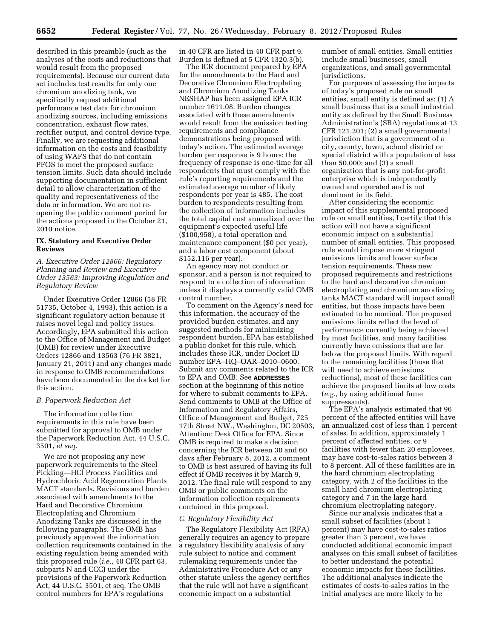described in this preamble (such as the analyses of the costs and reductions that would result from the proposed requirements). Because our current data set includes test results for only one chromium anodizing tank, we specifically request additional performance test data for chromium anodizing sources, including emissions concentration, exhaust flow rates, rectifier output, and control device type. Finally, we are requesting additional information on the costs and feasibility of using WAFS that do not contain PFOS to meet the proposed surface tension limits. Such data should include supporting documentation in sufficient detail to allow characterization of the quality and representativeness of the data or information. We are not reopening the public comment period for the actions proposed in the October 21, 2010 notice.

#### **IX. Statutory and Executive Order Reviews**

*A. Executive Order 12866: Regulatory Planning and Review and Executive Order 13563: Improving Regulation and Regulatory Review* 

Under Executive Order 12866 (58 FR 51735, October 4, 1993), this action is a significant regulatory action because it raises novel legal and policy issues. Accordingly, EPA submitted this action to the Office of Management and Budget (OMB) for review under Executive Orders 12866 and 13563 (76 FR 3821, January 21, 2011) and any changes made in response to OMB recommendations have been documented in the docket for this action.

#### *B. Paperwork Reduction Act*

The information collection requirements in this rule have been submitted for approval to OMB under the Paperwork Reduction Act, 44 U.S.C. 3501, *et seq.* 

We are not proposing any new paperwork requirements to the Steel Pickling—HCl Process Facilities and Hydrochloric Acid Regeneration Plants MACT standards. Revisions and burden associated with amendments to the Hard and Decorative Chromium Electroplating and Chromium Anodizing Tanks are discussed in the following paragraphs. The OMB has previously approved the information collection requirements contained in the existing regulation being amended with this proposed rule (*i.e.,* 40 CFR part 63, subparts N and CCC) under the provisions of the Paperwork Reduction Act, 44 U.S.C. 3501, et seq. The OMB control numbers for EPA's regulations

in 40 CFR are listed in 40 CFR part 9. Burden is defined at 5 CFR 1320.3(b).

The ICR document prepared by EPA for the amendments to the Hard and Decorative Chromium Electroplating and Chromium Anodizing Tanks NESHAP has been assigned EPA ICR number 1611.08. Burden changes associated with these amendments would result from the emission testing requirements and compliance demonstrations being proposed with today's action. The estimated average burden per response is 9 hours; the frequency of response is one-time for all respondents that must comply with the rule's reporting requirements and the estimated average number of likely respondents per year is 485. The cost burden to respondents resulting from the collection of information includes the total capital cost annualized over the equipment's expected useful life (\$100,958), a total operation and maintenance component (\$0 per year), and a labor cost component (about \$152,116 per year).

An agency may not conduct or sponsor, and a person is not required to respond to a collection of information unless it displays a currently valid OMB control number.

To comment on the Agency's need for this information, the accuracy of the provided burden estimates, and any suggested methods for minimizing respondent burden, EPA has established a public docket for this rule, which includes these ICR, under Docket ID number EPA–HQ–OAR–2010–0600. Submit any comments related to the ICR to EPA and OMB. See **ADDRESSES** section at the beginning of this notice for where to submit comments to EPA. Send comments to OMB at the Office of Information and Regulatory Affairs, Office of Management and Budget, 725 17th Street NW., Washington, DC 20503, Attention: Desk Office for EPA. Since OMB is required to make a decision concerning the ICR between 30 and 60 days after February 8, 2012, a comment to OMB is best assured of having its full effect if OMB receives it by March 9, 2012. The final rule will respond to any OMB or public comments on the information collection requirements contained in this proposal.

#### *C. Regulatory Flexibility Act*

The Regulatory Flexibility Act (RFA) generally requires an agency to prepare a regulatory flexibility analysis of any rule subject to notice and comment rulemaking requirements under the Administrative Procedure Act or any other statute unless the agency certifies that the rule will not have a significant economic impact on a substantial

number of small entities. Small entities include small businesses, small organizations, and small governmental jurisdictions.

For purposes of assessing the impacts of today's proposed rule on small entities, small entity is defined as: (1) A small business that is a small industrial entity as defined by the Small Business Administration's (SBA) regulations at 13 CFR 121.201; (2) a small governmental jurisdiction that is a government of a city, county, town, school district or special district with a population of less than 50,000; and (3) a small organization that is any not-for-profit enterprise which is independently owned and operated and is not dominant in its field.

After considering the economic impact of this supplemental proposed rule on small entities, I certify that this action will not have a significant economic impact on a substantial number of small entities. This proposed rule would impose more stringent emissions limits and lower surface tension requirements. These new proposed requirements and restrictions to the hard and decorative chromium electroplating and chromium anodizing tanks MACT standard will impact small entities, but those impacts have been estimated to be nominal. The proposed emissions limits reflect the level of performance currently being achieved by most facilities, and many facilities currently have emissions that are far below the proposed limits. With regard to the remaining facilities (those that will need to achieve emissions reductions), most of these facilities can achieve the proposed limits at low costs (*e.g.,* by using additional fume suppressants).

The EPA's analysis estimated that 96 percent of the affected entities will have an annualized cost of less than 1 percent of sales. In addition, approximately 1 percent of affected entities, or 9 facilities with fewer than 20 employees, may have cost-to-sales ratios between 3 to 8 percent. All of these facilities are in the hard chromium electroplating category, with 2 of the facilities in the small hard chromium electroplating category and 7 in the large hard chromium electroplating category.

Since our analysis indicates that a small subset of facilities (about 1 percent) may have cost-to-sales ratios greater than 3 percent, we have conducted additional economic impact analyses on this small subset of facilities to better understand the potential economic impacts for these facilities. The additional analyses indicate the estimates of costs-to-sales ratios in the initial analyses are more likely to be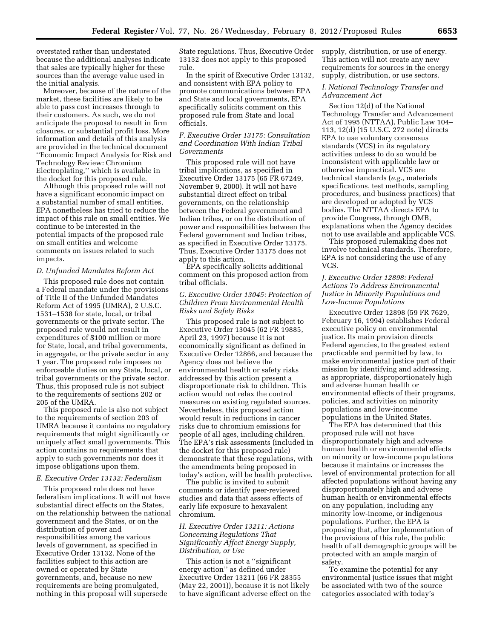overstated rather than understated because the additional analyses indicate that sales are typically higher for these sources than the average value used in the initial analysis.

Moreover, because of the nature of the market, these facilities are likely to be able to pass cost increases through to their customers. As such, we do not anticipate the proposal to result in firm closures, or substantial profit loss. More information and details of this analysis are provided in the technical document ''Economic Impact Analysis for Risk and Technology Review: Chromium Electroplating,'' which is available in the docket for this proposed rule.

Although this proposed rule will not have a significant economic impact on a substantial number of small entities, EPA nonetheless has tried to reduce the impact of this rule on small entities. We continue to be interested in the potential impacts of the proposed rule on small entities and welcome comments on issues related to such impacts.

#### *D. Unfunded Mandates Reform Act*

This proposed rule does not contain a Federal mandate under the provisions of Title II of the Unfunded Mandates Reform Act of 1995 (UMRA), 2 U.S.C. 1531–1538 for state, local, or tribal governments or the private sector. The proposed rule would not result in expenditures of \$100 million or more for State, local, and tribal governments, in aggregate, or the private sector in any 1 year. The proposed rule imposes no enforceable duties on any State, local, or tribal governments or the private sector. Thus, this proposed rule is not subject to the requirements of sections 202 or 205 of the UMRA.

This proposed rule is also not subject to the requirements of section 203 of UMRA because it contains no regulatory requirements that might significantly or uniquely affect small governments. This action contains no requirements that apply to such governments nor does it impose obligations upon them.

# *E. Executive Order 13132: Federalism*

This proposed rule does not have federalism implications. It will not have substantial direct effects on the States, on the relationship between the national government and the States, or on the distribution of power and responsibilities among the various levels of government, as specified in Executive Order 13132. None of the facilities subject to this action are owned or operated by State governments, and, because no new requirements are being promulgated, nothing in this proposal will supersede

State regulations. Thus, Executive Order 13132 does not apply to this proposed rule.

In the spirit of Executive Order 13132, and consistent with EPA policy to promote communications between EPA and State and local governments, EPA specifically solicits comment on this proposed rule from State and local officials.

# *F. Executive Order 13175: Consultation and Coordination With Indian Tribal Governments*

This proposed rule will not have tribal implications, as specified in Executive Order 13175 (65 FR 67249, November 9, 2000). It will not have substantial direct effect on tribal governments, on the relationship between the Federal government and Indian tribes, or on the distribution of power and responsibilities between the Federal government and Indian tribes, as specified in Executive Order 13175. Thus, Executive Order 13175 does not apply to this action.

EPA specifically solicits additional comment on this proposed action from tribal officials.

# *G. Executive Order 13045: Protection of Children From Environmental Health Risks and Safety Risks*

This proposed rule is not subject to Executive Order 13045 (62 FR 19885, April 23, 1997) because it is not economically significant as defined in Executive Order 12866, and because the Agency does not believe the environmental health or safety risks addressed by this action present a disproportionate risk to children. This action would not relax the control measures on existing regulated sources. Nevertheless, this proposed action would result in reductions in cancer risks due to chromium emissions for people of all ages, including children. The EPA's risk assessments (included in the docket for this proposed rule) demonstrate that these regulations, with the amendments being proposed in today's action, will be health protective.

The public is invited to submit comments or identify peer-reviewed studies and data that assess effects of early life exposure to hexavalent chromium.

# *H. Executive Order 13211: Actions Concerning Regulations That Significantly Affect Energy Supply, Distribution, or Use*

This action is not a ''significant energy action'' as defined under Executive Order 13211 (66 FR 28355 (May 22, 2001)), because it is not likely to have significant adverse effect on the supply, distribution, or use of energy. This action will not create any new requirements for sources in the energy supply, distribution, or use sectors.

# *I. National Technology Transfer and Advancement Act*

Section 12(d) of the National Technology Transfer and Advancement Act of 1995 (NTTAA), Public Law 104– 113, 12(d) (15 U.S.C. 272 note) directs EPA to use voluntary consensus standards (VCS) in its regulatory activities unless to do so would be inconsistent with applicable law or otherwise impractical. VCS are technical standards (*e.g.,* materials specifications, test methods, sampling procedures, and business practices) that are developed or adopted by VCS bodies. The NTTAA directs EPA to provide Congress, through OMB, explanations when the Agency decides not to use available and applicable VCS.

This proposed rulemaking does not involve technical standards. Therefore, EPA is not considering the use of any VCS.

# *J. Executive Order 12898: Federal Actions To Address Environmental Justice in Minority Populations and Low-Income Populations*

Executive Order 12898 (59 FR 7629, February 16, 1994) establishes Federal executive policy on environmental justice. Its main provision directs Federal agencies, to the greatest extent practicable and permitted by law, to make environmental justice part of their mission by identifying and addressing, as appropriate, disproportionately high and adverse human health or environmental effects of their programs, policies, and activities on minority populations and low-income populations in the United States.

The EPA has determined that this proposed rule will not have disproportionately high and adverse human health or environmental effects on minority or low-income populations because it maintains or increases the level of environmental protection for all affected populations without having any disproportionately high and adverse human health or environmental effects on any population, including any minority low-income, or indigenous populations. Further, the EPA is proposing that, after implementation of the provisions of this rule, the public health of all demographic groups will be protected with an ample margin of safety.

To examine the potential for any environmental justice issues that might be associated with two of the source categories associated with today's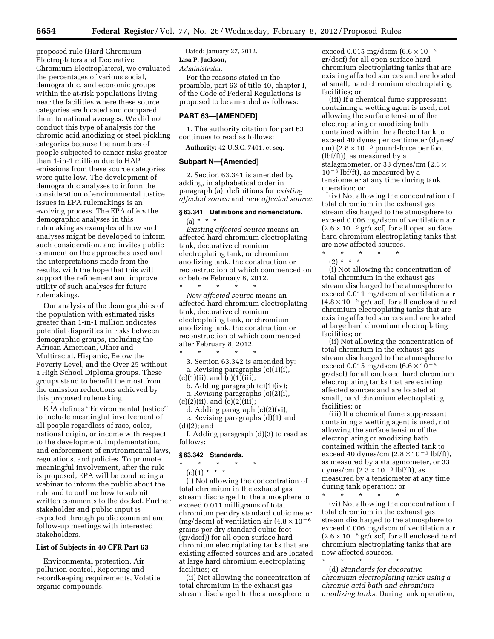proposed rule (Hard Chromium Electroplaters and Decorative Chromium Electroplaters), we evaluated the percentages of various social, demographic, and economic groups within the at-risk populations living near the facilities where these source categories are located and compared them to national averages. We did not conduct this type of analysis for the chromic acid anodizing or steel pickling categories because the numbers of people subjected to cancer risks greater than 1-in-1 million due to HAP emissions from these source categories were quite low. The development of demographic analyses to inform the consideration of environmental justice issues in EPA rulemakings is an evolving process. The EPA offers the demographic analyses in this rulemaking as examples of how such analyses might be developed to inform such consideration, and invites public comment on the approaches used and the interpretations made from the results, with the hope that this will support the refinement and improve utility of such analyses for future rulemakings.

Our analysis of the demographics of the population with estimated risks greater than 1-in-1 million indicates potential disparities in risks between demographic groups, including the African American, Other and Multiracial, Hispanic, Below the Poverty Level, and the Over 25 without a High School Diploma groups. These groups stand to benefit the most from the emission reductions achieved by this proposed rulemaking.

EPA defines ''Environmental Justice'' to include meaningful involvement of all people regardless of race, color, national origin, or income with respect to the development, implementation, and enforcement of environmental laws, regulations, and policies. To promote meaningful involvement, after the rule is proposed, EPA will be conducting a webinar to inform the public about the rule and to outline how to submit written comments to the docket. Further stakeholder and public input is expected through public comment and follow-up meetings with interested stakeholders.

#### **List of Subjects in 40 CFR Part 63**

Environmental protection, Air pollution control, Reporting and recordkeeping requirements, Volatile organic compounds.

Dated: January 27, 2012. **Lisa P. Jackson,**  *Administrator.* 

For the reasons stated in the preamble, part 63 of title 40, chapter I, of the Code of Federal Regulations is proposed to be amended as follows:

#### **PART 63—[AMENDED]**

1. The authority citation for part 63 continues to read as follows:

**Authority:** 42 U.S.C. 7401, et seq.

#### **Subpart N—[Amended]**

2. Section 63.341 is amended by adding, in alphabetical order in paragraph (a), definitions for *existing affected source* and *new affected source.* 

# **§ 63.341 Definitions and nomenclature.**   $(a) * * * *$

*Existing affected source* means an affected hard chromium electroplating tank, decorative chromium electroplating tank, or chromium anodizing tank, the construction or reconstruction of which commenced on or before February 8, 2012.

\* \* \* \* \* *New affected source* means an affected hard chromium electroplating tank, decorative chromium electroplating tank, or chromium anodizing tank, the construction or reconstruction of which commenced after February 8, 2012.

\* \* \* \* \* 3. Section 63.342 is amended by: a. Revising paragraphs (c)(1)(i),  $(c)(1)(ii)$ , and  $(c)(1)(iii)$ ;

b. Adding paragraph (c)(1)(iv);

c. Revising paragraphs (c)(2)(i),  $(c)(2)(ii)$ , and  $(c)(2)(iii)$ ;

d. Adding paragraph (c)(2)(vi);

e. Revising paragraphs (d)(1) and (d)(2); and

f. Adding paragraph (d)(3) to read as follows:

#### **§ 63.342 Standards.**

\* \* \* \* \*

 $(c)(1) * * * *$ 

(i) Not allowing the concentration of total chromium in the exhaust gas stream discharged to the atmosphere to exceed 0.011 milligrams of total chromium per dry standard cubic meter (mg/dscm) of ventilation air  $(4.8 \times 10^{-6}$ grains per dry standard cubic foot (gr/dscf)) for all open surface hard chromium electroplating tanks that are existing affected sources and are located at large hard chromium electroplating facilities; or

(ii) Not allowing the concentration of total chromium in the exhaust gas stream discharged to the atmosphere to

exceed 0.015 mg/dscm  $(6.6 \times 10^{-6})$ gr/dscf) for all open surface hard chromium electroplating tanks that are existing affected sources and are located at small, hard chromium electroplating facilities; or

(iii) If a chemical fume suppressant containing a wetting agent is used, not allowing the surface tension of the electroplating or anodizing bath contained within the affected tank to exceed 40 dynes per centimeter (dynes/ cm) (2.8  $\times$  10<sup>-3</sup> pound-force per foot (lbf/ft)), as measured by a stalagmometer, or 33 dynes/cm (2.3 ×  $10^{-3}$  lbf/ft), as measured by a tensiometer at any time during tank operation; or

(iv) Not allowing the concentration of total chromium in the exhaust gas stream discharged to the atmosphere to exceed 0.006 mg/dscm of ventilation air  $(2.6 \times 10^{-6} \text{ gr/dscf})$  for all open surface hard chromium electroplating tanks that are new affected sources.

\* \* \* \* \* (2) \* \* \*

(i) Not allowing the concentration of total chromium in the exhaust gas stream discharged to the atmosphere to exceed 0.011 mg/dscm of ventilation air  $(4.8 \times 10^{-6} \text{ gr/dscf})$  for all enclosed hard chromium electroplating tanks that are existing affected sources and are located at large hard chromium electroplating facilities; or

(ii) Not allowing the concentration of total chromium in the exhaust gas stream discharged to the atmosphere to exceed 0.015 mg/dscm  $(6.6 \times 10^{-6})$ gr/dscf) for all enclosed hard chromium electroplating tanks that are existing affected sources and are located at small, hard chromium electroplating facilities; or

(iii) If a chemical fume suppressant containing a wetting agent is used, not allowing the surface tension of the electroplating or anodizing bath contained within the affected tank to exceed 40 dynes/cm  $(2.8 \times 10^{-3} \text{ lbf/ft})$ , as measured by a stalagmometer, or 33 dynes/cm  $(2.3 \times 10^{-3} \text{ lbf/ft})$ , as measured by a tensiometer at any time during tank operation; or

\* \* \* \* \* (vi) Not allowing the concentration of total chromium in the exhaust gas stream discharged to the atmosphere to exceed 0.006 mg/dscm of ventilation air  $(2.6 \times 10^{-6} \text{ gr/dscf})$  for all enclosed hard chromium electroplating tanks that are new affected sources. \* \* \* \* \*

(d) *Standards for decorative chromium electroplating tanks using a chromic acid bath and chromium anodizing tanks.* During tank operation,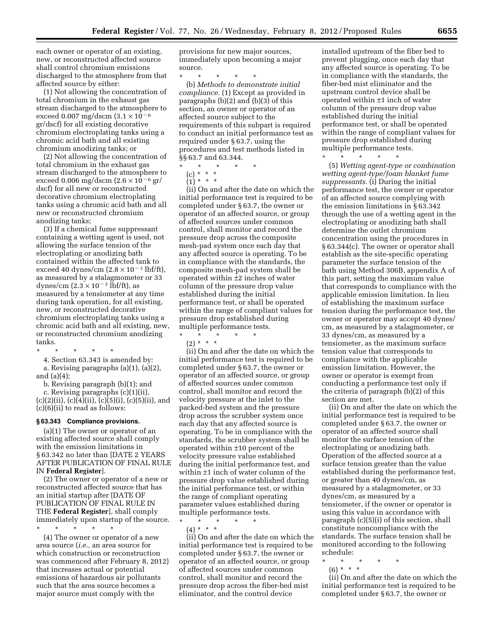each owner or operator of an existing, new, or reconstructed affected source shall control chromium emissions discharged to the atmosphere from that affected source by either:

(1) Not allowing the concentration of total chromium in the exhaust gas stream discharged to the atmosphere to exceed 0.007 mg/dscm  $(3.1 \times 10^{-6})$ gr/dscf) for all existing decorative chromium electroplating tanks using a chromic acid bath and all existing chromium anodizing tanks; or

(2) Not allowing the concentration of total chromium in the exhaust gas stream discharged to the atmosphere to exceed 0.006 mg/dscm  $(2.6 \times 10^{-6} \text{ gr/}$ dscf) for all new or reconstructed decorative chromium electroplating tanks using a chromic acid bath and all new or reconstructed chromium anodizing tanks;

(3) If a chemical fume suppressant containing a wetting agent is used, not allowing the surface tension of the electroplating or anodizing bath contained within the affected tank to exceed 40 dynes/cm  $(2.8 \times 10^{-3} \text{ lbf/ft})$ , as measured by a stalagmometer or 33 dynes/cm  $(2.3 \times 10^{-3} \text{ lbf/ft})$ , as measured by a tensiometer at any time during tank operation, for all existing, new, or reconstructed decorative chromium electroplating tanks using a chromic acid bath and all existing, new, or reconstructed chromium anodizing tanks.

\* \* \* \* \*

4. Section 63.343 is amended by: a. Revising paragraphs (a)(1), (a)(2), and (a)(4);

b. Revising paragraph (b)(1); and

c. Revising paragraphs (c)(1)(ii),  $(c)(2)(ii)$ ,  $(c)(4)(ii)$ ,  $(c)(5)(i)$ ,  $(c)(5)(ii)$ , and (c)(6)(ii) to read as follows:

# **§ 63.343 Compliance provisions.**

(a)(1) The owner or operator of an existing affected source shall comply with the emission limitations in § 63.342 no later than [DATE 2 YEARS AFTER PUBLICATION OF FINAL RULE IN **Federal Register**].

(2) The owner or operator of a new or reconstructed affected source that has an initial startup after [DATE OF PUBLICATION OF FINAL RULE IN THE **Federal Register**], shall comply immediately upon startup of the source. \* \* \* \* \*

(4) The owner or operator of a new area source (*i.e.,* an area source for which construction or reconstruction was commenced after February 8, 2012) that increases actual or potential emissions of hazardous air pollutants such that the area source becomes a major source must comply with the

provisions for new major sources, immediately upon becoming a major source.

\* \* \* \* \* (b) *Methods to demonstrate initial compliance.* (1) Except as provided in paragraphs (b)(2) and (b)(3) of this section, an owner or operator of an affected source subject to the requirements of this subpart is required to conduct an initial performance test as required under § 63.7, using the procedures and test methods listed in §§ 63.7 and 63.344.

\* \* \* \* \*

(c) \* \* \*  $(1) * * * *$ 

(ii) On and after the date on which the initial performance test is required to be completed under § 63.7, the owner or operator of an affected source, or group of affected sources under common control, shall monitor and record the pressure drop across the composite mesh-pad system once each day that any affected source is operating. To be in compliance with the standards, the composite mesh-pad system shall be operated within ±2 inches of water column of the pressure drop value established during the initial performance test, or shall be operated within the range of compliant values for pressure drop established during multiple performance tests.

\* \* \* \* \* (2) \* \* \*

(ii) On and after the date on which the initial performance test is required to be completed under § 63.7, the owner or operator of an affected source, or group of affected sources under common control, shall monitor and record the velocity pressure at the inlet to the packed-bed system and the pressure drop across the scrubber system once each day that any affected source is operating. To be in compliance with the standards, the scrubber system shall be operated within ±10 percent of the velocity pressure value established during the initial performance test, and within ±1 inch of water column of the pressure drop value established during the initial performance test, or within the range of compliant operating parameter values established during multiple performance tests.

\* \* \* \* \*  $(4) * * * *$ 

(ii) On and after the date on which the initial performance test is required to be completed under § 63.7, the owner or operator of an affected source, or group of affected sources under common control, shall monitor and record the pressure drop across the fiber-bed mist eliminator, and the control device

installed upstream of the fiber bed to prevent plugging, once each day that any affected source is operating. To be in compliance with the standards, the fiber-bed mist eliminator and the upstream control device shall be operated within ±1 inch of water column of the pressure drop value established during the initial performance test, or shall be operated within the range of compliant values for pressure drop established during multiple performance tests.

\* \* \* \* \*

(5) *Wetting agent-type or combination wetting agent-type/foam blanket fume suppressants.* (i) During the initial performance test, the owner or operator of an affected source complying with the emission limitations in § 63.342 through the use of a wetting agent in the electroplating or anodizing bath shall determine the outlet chromium concentration using the procedures in § 63.344(c). The owner or operator shall establish as the site-specific operating parameter the surface tension of the bath using Method 306B, appendix A of this part, setting the maximum value that corresponds to compliance with the applicable emission limitation. In lieu of establishing the maximum surface tension during the performance test, the owner or operator may accept 40 dynes/ cm, as measured by a stalagmometer, or 33 dynes/cm, as measured by a tensiometer, as the maximum surface tension value that corresponds to compliance with the applicable emission limitation. However, the owner or operator is exempt from conducting a performance test only if the criteria of paragraph (b)(2) of this section are met.

(ii) On and after the date on which the initial performance test is required to be completed under § 63.7, the owner or operator of an affected source shall monitor the surface tension of the electroplating or anodizing bath. Operation of the affected source at a surface tension greater than the value established during the performance test, or greater than 40 dynes/cm, as measured by a stalagmometer, or 33 dynes/cm, as measured by a tensiometer, if the owner or operator is using this value in accordance with paragraph (c)(5)(i) of this section, shall constitute noncompliance with the standards. The surface tension shall be monitored according to the following schedule:

\* \* \* \* \*

(6) \* \* \* (ii) On and after the date on which the initial performance test is required to be completed under § 63.7, the owner or